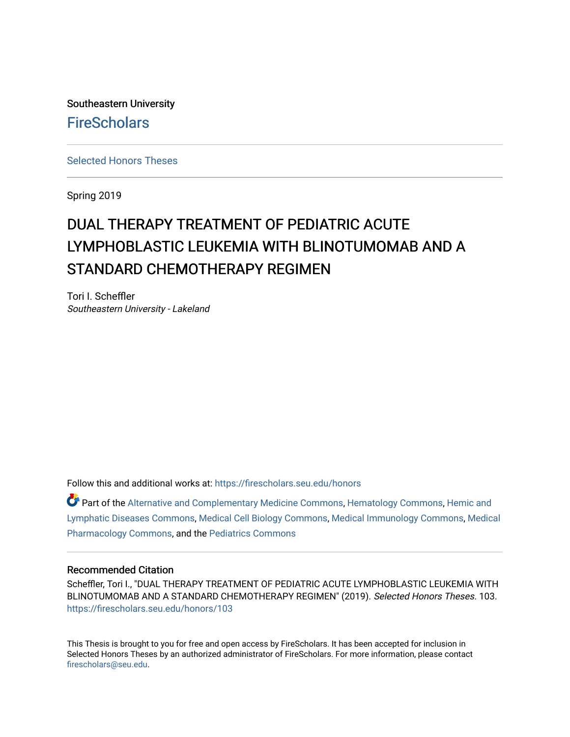Southeastern University **FireScholars** 

[Selected Honors Theses](https://firescholars.seu.edu/honors)

Spring 2019

# DUAL THERAPY TREATMENT OF PEDIATRIC ACUTE LYMPHOBLASTIC LEUKEMIA WITH BLINOTUMOMAB AND A STANDARD CHEMOTHERAPY REGIMEN

Tori I. Scheffler Southeastern University - Lakeland

Follow this and additional works at: [https://firescholars.seu.edu/honors](https://firescholars.seu.edu/honors?utm_source=firescholars.seu.edu%2Fhonors%2F103&utm_medium=PDF&utm_campaign=PDFCoverPages)

Part of the [Alternative and Complementary Medicine Commons,](http://network.bepress.com/hgg/discipline/649?utm_source=firescholars.seu.edu%2Fhonors%2F103&utm_medium=PDF&utm_campaign=PDFCoverPages) [Hematology Commons,](http://network.bepress.com/hgg/discipline/1059?utm_source=firescholars.seu.edu%2Fhonors%2F103&utm_medium=PDF&utm_campaign=PDFCoverPages) [Hemic and](http://network.bepress.com/hgg/discipline/1011?utm_source=firescholars.seu.edu%2Fhonors%2F103&utm_medium=PDF&utm_campaign=PDFCoverPages) [Lymphatic Diseases Commons](http://network.bepress.com/hgg/discipline/1011?utm_source=firescholars.seu.edu%2Fhonors%2F103&utm_medium=PDF&utm_campaign=PDFCoverPages), [Medical Cell Biology Commons,](http://network.bepress.com/hgg/discipline/669?utm_source=firescholars.seu.edu%2Fhonors%2F103&utm_medium=PDF&utm_campaign=PDFCoverPages) [Medical Immunology Commons](http://network.bepress.com/hgg/discipline/671?utm_source=firescholars.seu.edu%2Fhonors%2F103&utm_medium=PDF&utm_campaign=PDFCoverPages), [Medical](http://network.bepress.com/hgg/discipline/960?utm_source=firescholars.seu.edu%2Fhonors%2F103&utm_medium=PDF&utm_campaign=PDFCoverPages)  [Pharmacology Commons,](http://network.bepress.com/hgg/discipline/960?utm_source=firescholars.seu.edu%2Fhonors%2F103&utm_medium=PDF&utm_campaign=PDFCoverPages) and the [Pediatrics Commons](http://network.bepress.com/hgg/discipline/700?utm_source=firescholars.seu.edu%2Fhonors%2F103&utm_medium=PDF&utm_campaign=PDFCoverPages) 

## Recommended Citation

Scheffler, Tori I., "DUAL THERAPY TREATMENT OF PEDIATRIC ACUTE LYMPHOBLASTIC LEUKEMIA WITH BLINOTUMOMAB AND A STANDARD CHEMOTHERAPY REGIMEN" (2019). Selected Honors Theses. 103. [https://firescholars.seu.edu/honors/103](https://firescholars.seu.edu/honors/103?utm_source=firescholars.seu.edu%2Fhonors%2F103&utm_medium=PDF&utm_campaign=PDFCoverPages)

This Thesis is brought to you for free and open access by FireScholars. It has been accepted for inclusion in Selected Honors Theses by an authorized administrator of FireScholars. For more information, please contact [firescholars@seu.edu.](mailto:firescholars@seu.edu)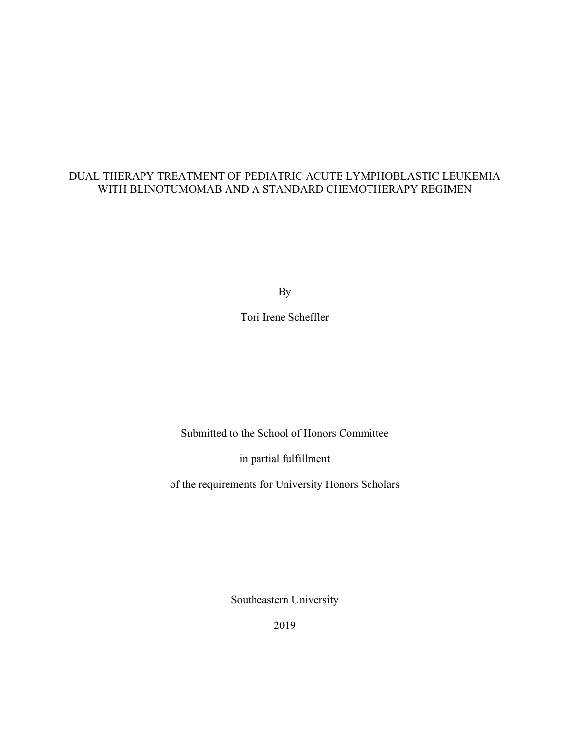# DUAL THERAPY TREATMENT OF PEDIATRIC ACUTE LYMPHOBLASTIC LEUKEMIA WITH BLINOTUMOMAB AND A STANDARD CHEMOTHERAPY REGIMEN

By

Tori Irene Scheffler

Submitted to the School of Honors Committee

in partial fulfillment

of the requirements for University Honors Scholars

Southeastern University

2019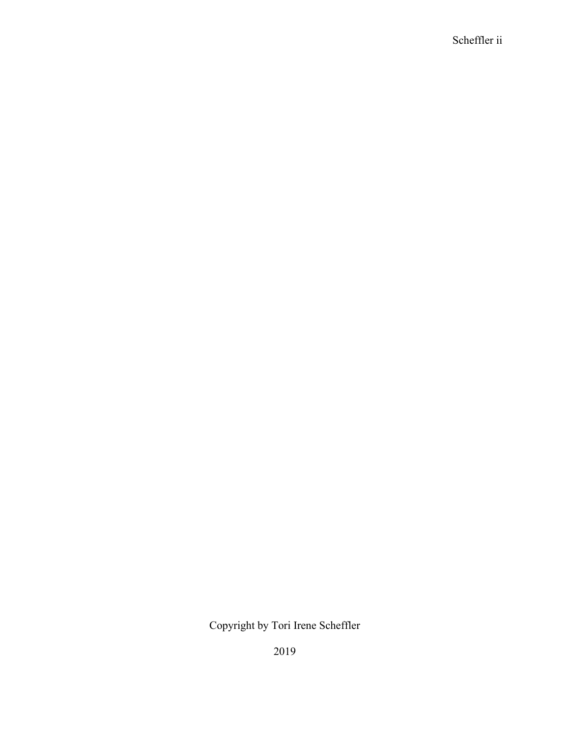Scheffler ii

Copyright by Tori Irene Scheffler

2019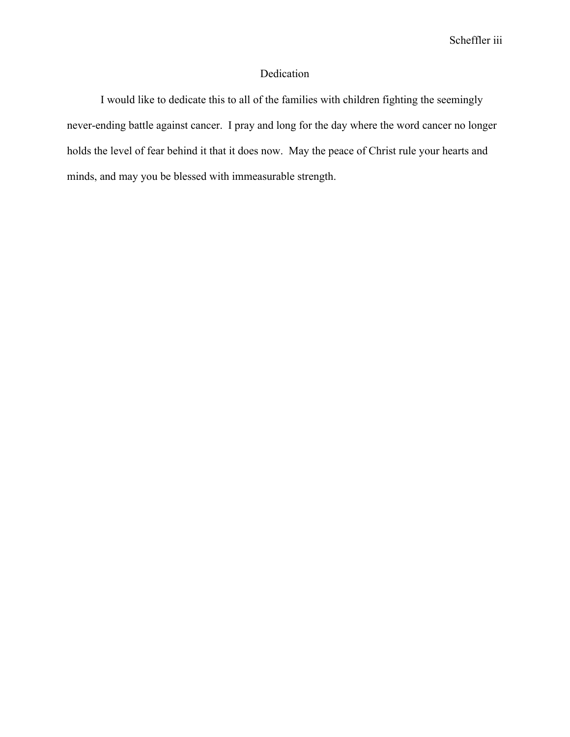# Dedication

I would like to dedicate this to all of the families with children fighting the seemingly never-ending battle against cancer. I pray and long for the day where the word cancer no longer holds the level of fear behind it that it does now. May the peace of Christ rule your hearts and minds, and may you be blessed with immeasurable strength.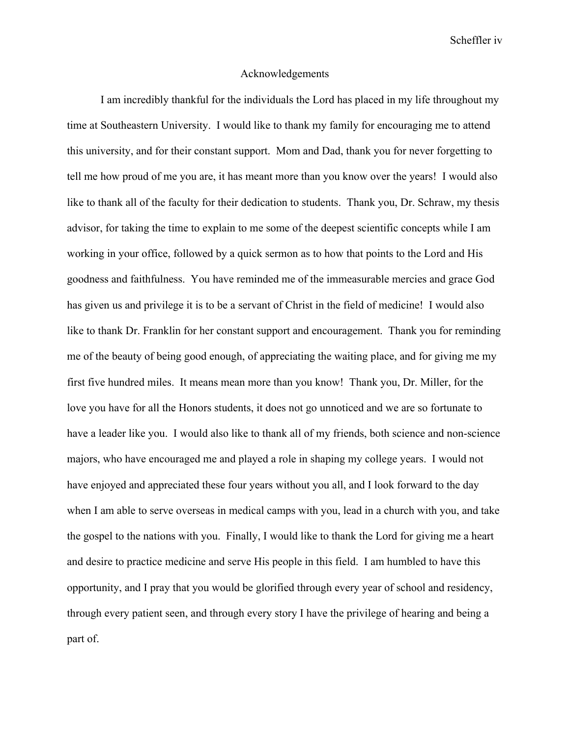Scheffler iv

#### Acknowledgements

I am incredibly thankful for the individuals the Lord has placed in my life throughout my time at Southeastern University. I would like to thank my family for encouraging me to attend this university, and for their constant support. Mom and Dad, thank you for never forgetting to tell me how proud of me you are, it has meant more than you know over the years! I would also like to thank all of the faculty for their dedication to students. Thank you, Dr. Schraw, my thesis advisor, for taking the time to explain to me some of the deepest scientific concepts while I am working in your office, followed by a quick sermon as to how that points to the Lord and His goodness and faithfulness. You have reminded me of the immeasurable mercies and grace God has given us and privilege it is to be a servant of Christ in the field of medicine! I would also like to thank Dr. Franklin for her constant support and encouragement. Thank you for reminding me of the beauty of being good enough, of appreciating the waiting place, and for giving me my first five hundred miles. It means mean more than you know! Thank you, Dr. Miller, for the love you have for all the Honors students, it does not go unnoticed and we are so fortunate to have a leader like you. I would also like to thank all of my friends, both science and non-science majors, who have encouraged me and played a role in shaping my college years. I would not have enjoyed and appreciated these four years without you all, and I look forward to the day when I am able to serve overseas in medical camps with you, lead in a church with you, and take the gospel to the nations with you. Finally, I would like to thank the Lord for giving me a heart and desire to practice medicine and serve His people in this field. I am humbled to have this opportunity, and I pray that you would be glorified through every year of school and residency, through every patient seen, and through every story I have the privilege of hearing and being a part of.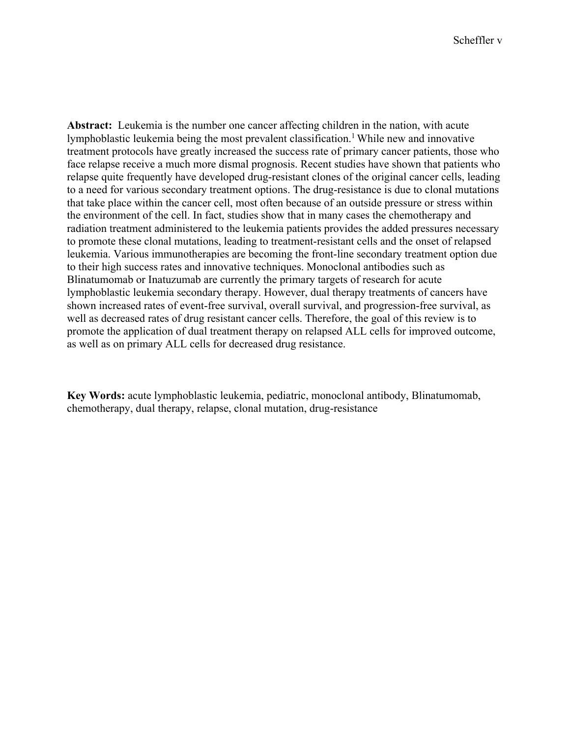**Abstract:** Leukemia is the number one cancer affecting children in the nation, with acute lymphoblastic leukemia being the most prevalent classification.<sup>1</sup> While new and innovative treatment protocols have greatly increased the success rate of primary cancer patients, those who face relapse receive a much more dismal prognosis. Recent studies have shown that patients who relapse quite frequently have developed drug-resistant clones of the original cancer cells, leading to a need for various secondary treatment options. The drug-resistance is due to clonal mutations that take place within the cancer cell, most often because of an outside pressure or stress within the environment of the cell. In fact, studies show that in many cases the chemotherapy and radiation treatment administered to the leukemia patients provides the added pressures necessary to promote these clonal mutations, leading to treatment-resistant cells and the onset of relapsed leukemia. Various immunotherapies are becoming the front-line secondary treatment option due to their high success rates and innovative techniques. Monoclonal antibodies such as Blinatumomab or Inatuzumab are currently the primary targets of research for acute lymphoblastic leukemia secondary therapy. However, dual therapy treatments of cancers have shown increased rates of event-free survival, overall survival, and progression-free survival, as well as decreased rates of drug resistant cancer cells. Therefore, the goal of this review is to promote the application of dual treatment therapy on relapsed ALL cells for improved outcome, as well as on primary ALL cells for decreased drug resistance.

**Key Words:** acute lymphoblastic leukemia, pediatric, monoclonal antibody, Blinatumomab, chemotherapy, dual therapy, relapse, clonal mutation, drug-resistance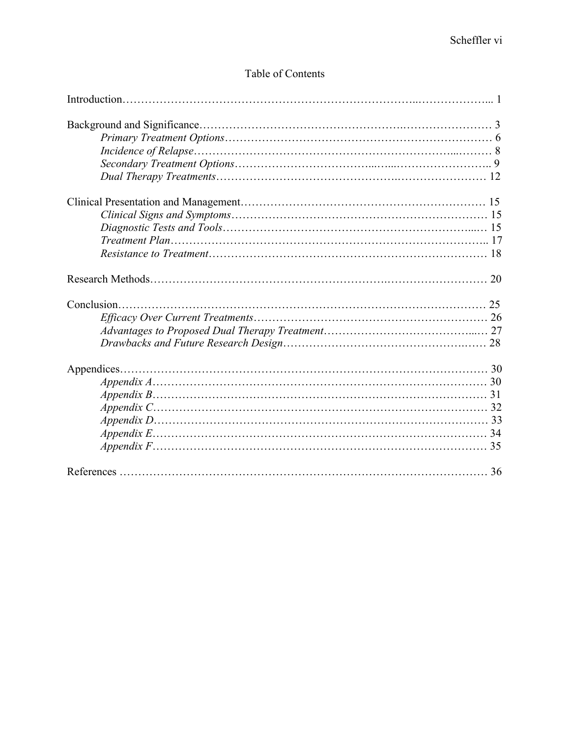# Table of Contents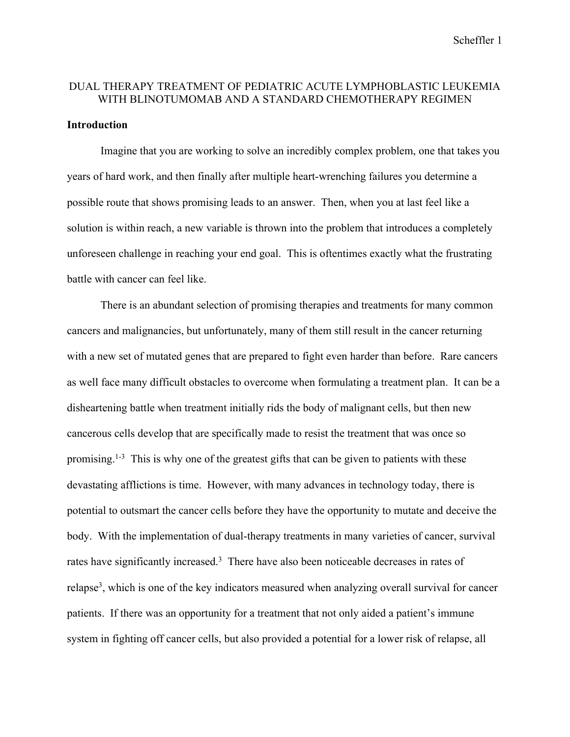# DUAL THERAPY TREATMENT OF PEDIATRIC ACUTE LYMPHOBLASTIC LEUKEMIA WITH BLINOTUMOMAB AND A STANDARD CHEMOTHERAPY REGIMEN

#### **Introduction**

Imagine that you are working to solve an incredibly complex problem, one that takes you years of hard work, and then finally after multiple heart-wrenching failures you determine a possible route that shows promising leads to an answer. Then, when you at last feel like a solution is within reach, a new variable is thrown into the problem that introduces a completely unforeseen challenge in reaching your end goal. This is oftentimes exactly what the frustrating battle with cancer can feel like.

There is an abundant selection of promising therapies and treatments for many common cancers and malignancies, but unfortunately, many of them still result in the cancer returning with a new set of mutated genes that are prepared to fight even harder than before. Rare cancers as well face many difficult obstacles to overcome when formulating a treatment plan. It can be a disheartening battle when treatment initially rids the body of malignant cells, but then new cancerous cells develop that are specifically made to resist the treatment that was once so promising.<sup>1-3</sup> This is why one of the greatest gifts that can be given to patients with these devastating afflictions is time. However, with many advances in technology today, there is potential to outsmart the cancer cells before they have the opportunity to mutate and deceive the body. With the implementation of dual-therapy treatments in many varieties of cancer, survival rates have significantly increased.<sup>3</sup> There have also been noticeable decreases in rates of relapse<sup>3</sup>, which is one of the key indicators measured when analyzing overall survival for cancer patients. If there was an opportunity for a treatment that not only aided a patient's immune system in fighting off cancer cells, but also provided a potential for a lower risk of relapse, all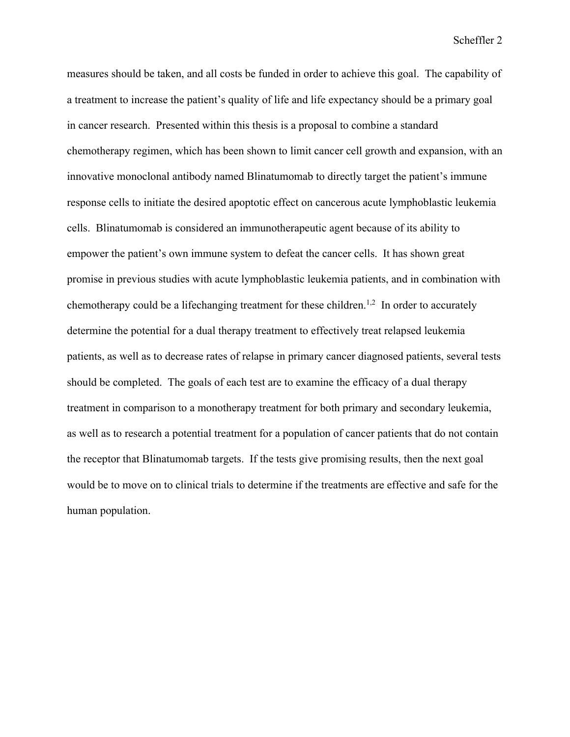measures should be taken, and all costs be funded in order to achieve this goal. The capability of a treatment to increase the patient's quality of life and life expectancy should be a primary goal in cancer research. Presented within this thesis is a proposal to combine a standard chemotherapy regimen, which has been shown to limit cancer cell growth and expansion, with an innovative monoclonal antibody named Blinatumomab to directly target the patient's immune response cells to initiate the desired apoptotic effect on cancerous acute lymphoblastic leukemia cells. Blinatumomab is considered an immunotherapeutic agent because of its ability to empower the patient's own immune system to defeat the cancer cells. It has shown great promise in previous studies with acute lymphoblastic leukemia patients, and in combination with chemotherapy could be a lifechanging treatment for these children.<sup>1,2</sup> In order to accurately determine the potential for a dual therapy treatment to effectively treat relapsed leukemia patients, as well as to decrease rates of relapse in primary cancer diagnosed patients, several tests should be completed. The goals of each test are to examine the efficacy of a dual therapy treatment in comparison to a monotherapy treatment for both primary and secondary leukemia, as well as to research a potential treatment for a population of cancer patients that do not contain the receptor that Blinatumomab targets. If the tests give promising results, then the next goal would be to move on to clinical trials to determine if the treatments are effective and safe for the human population.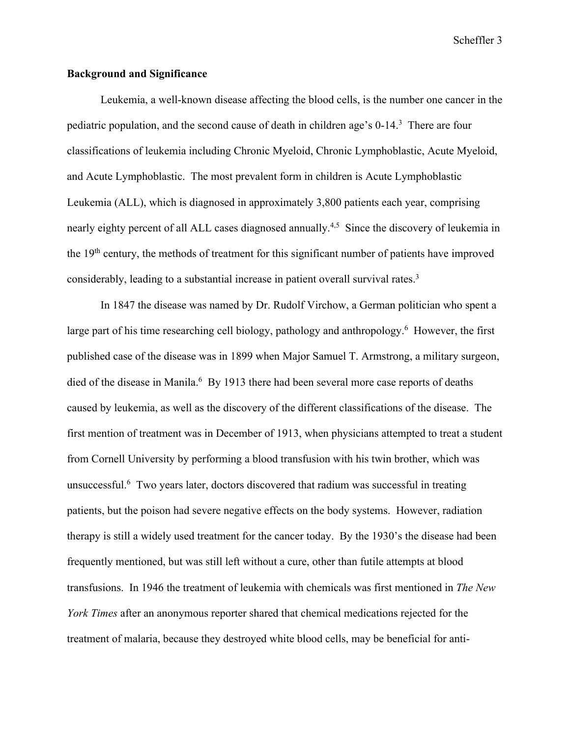## **Background and Significance**

Leukemia, a well-known disease affecting the blood cells, is the number one cancer in the pediatric population, and the second cause of death in children age's 0-14.<sup>3</sup> There are four classifications of leukemia including Chronic Myeloid, Chronic Lymphoblastic, Acute Myeloid, and Acute Lymphoblastic. The most prevalent form in children is Acute Lymphoblastic Leukemia (ALL), which is diagnosed in approximately 3,800 patients each year, comprising nearly eighty percent of all ALL cases diagnosed annually.<sup>4,5</sup> Since the discovery of leukemia in the 19th century, the methods of treatment for this significant number of patients have improved considerably, leading to a substantial increase in patient overall survival rates.3

In 1847 the disease was named by Dr. Rudolf Virchow, a German politician who spent a large part of his time researching cell biology, pathology and anthropology.<sup>6</sup> However, the first published case of the disease was in 1899 when Major Samuel T. Armstrong, a military surgeon, died of the disease in Manila.<sup>6</sup> By 1913 there had been several more case reports of deaths caused by leukemia, as well as the discovery of the different classifications of the disease. The first mention of treatment was in December of 1913, when physicians attempted to treat a student from Cornell University by performing a blood transfusion with his twin brother, which was unsuccessful.<sup>6</sup> Two years later, doctors discovered that radium was successful in treating patients, but the poison had severe negative effects on the body systems. However, radiation therapy is still a widely used treatment for the cancer today. By the 1930's the disease had been frequently mentioned, but was still left without a cure, other than futile attempts at blood transfusions. In 1946 the treatment of leukemia with chemicals was first mentioned in *The New York Times* after an anonymous reporter shared that chemical medications rejected for the treatment of malaria, because they destroyed white blood cells, may be beneficial for anti-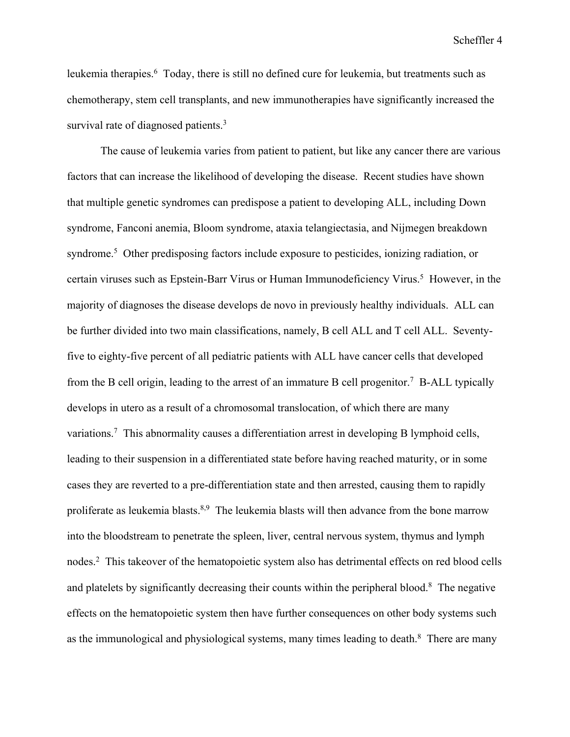leukemia therapies.<sup>6</sup> Today, there is still no defined cure for leukemia, but treatments such as chemotherapy, stem cell transplants, and new immunotherapies have significantly increased the survival rate of diagnosed patients.<sup>3</sup>

The cause of leukemia varies from patient to patient, but like any cancer there are various factors that can increase the likelihood of developing the disease. Recent studies have shown that multiple genetic syndromes can predispose a patient to developing ALL, including Down syndrome, Fanconi anemia, Bloom syndrome, ataxia telangiectasia, and Nijmegen breakdown syndrome.<sup>5</sup> Other predisposing factors include exposure to pesticides, ionizing radiation, or certain viruses such as Epstein-Barr Virus or Human Immunodeficiency Virus.<sup>5</sup> However, in the majority of diagnoses the disease develops de novo in previously healthy individuals. ALL can be further divided into two main classifications, namely, B cell ALL and T cell ALL. Seventyfive to eighty-five percent of all pediatric patients with ALL have cancer cells that developed from the B cell origin, leading to the arrest of an immature B cell progenitor.<sup>7</sup> B-ALL typically develops in utero as a result of a chromosomal translocation, of which there are many variations.<sup>7</sup> This abnormality causes a differentiation arrest in developing B lymphoid cells, leading to their suspension in a differentiated state before having reached maturity, or in some cases they are reverted to a pre-differentiation state and then arrested, causing them to rapidly proliferate as leukemia blasts.<sup>8,9</sup> The leukemia blasts will then advance from the bone marrow into the bloodstream to penetrate the spleen, liver, central nervous system, thymus and lymph nodes.2 This takeover of the hematopoietic system also has detrimental effects on red blood cells and platelets by significantly decreasing their counts within the peripheral blood.<sup>8</sup> The negative effects on the hematopoietic system then have further consequences on other body systems such as the immunological and physiological systems, many times leading to death. $8$  There are many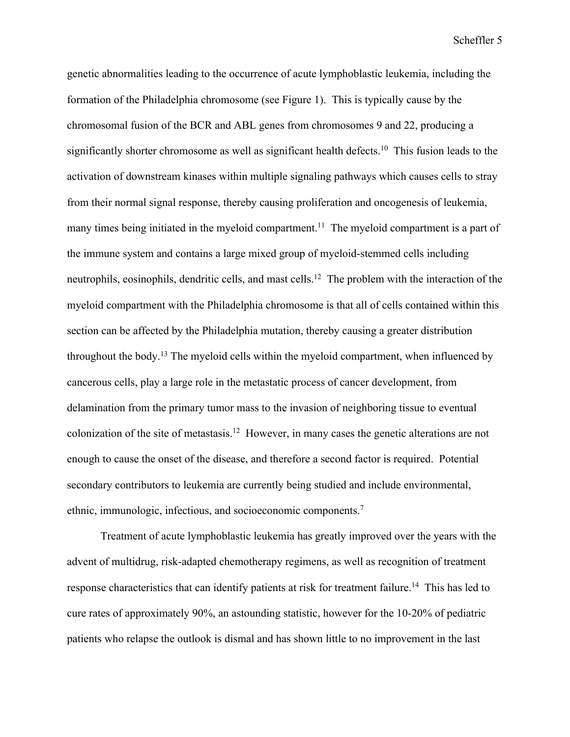genetic abnormalities leading to the occurrence of acute lymphoblastic leukemia, including the formation of the Philadelphia chromosome (see Figure 1). This is typically cause by the chromosomal fusion of the BCR and ABL genes from chromosomes 9 and 22, producing a significantly shorter chromosome as well as significant health defects.<sup>10</sup> This fusion leads to the activation of downstream kinases within multiple signaling pathways which causes cells to stray from their normal signal response, thereby causing proliferation and oncogenesis of leukemia, many times being initiated in the myeloid compartment.<sup>11</sup> The myeloid compartment is a part of the immune system and contains a large mixed group of myeloid-stemmed cells including neutrophils, eosinophils, dendritic cells, and mast cells.<sup>12</sup> The problem with the interaction of the myeloid compartment with the Philadelphia chromosome is that all of cells contained within this section can be affected by the Philadelphia mutation, thereby causing a greater distribution throughout the body.<sup>13</sup> The myeloid cells within the myeloid compartment, when influenced by cancerous cells, play a large role in the metastatic process of cancer development, from delamination from the primary tumor mass to the invasion of neighboring tissue to eventual colonization of the site of metastasis.12 However, in many cases the genetic alterations are not enough to cause the onset of the disease, and therefore a second factor is required. Potential secondary contributors to leukemia are currently being studied and include environmental, ethnic, immunologic, infectious, and socioeconomic components. 7

Treatment of acute lymphoblastic leukemia has greatly improved over the years with the advent of multidrug, risk-adapted chemotherapy regimens, as well as recognition of treatment response characteristics that can identify patients at risk for treatment failure.<sup>14</sup> This has led to cure rates of approximately 90%, an astounding statistic, however for the 10-20% of pediatric patients who relapse the outlook is dismal and has shown little to no improvement in the last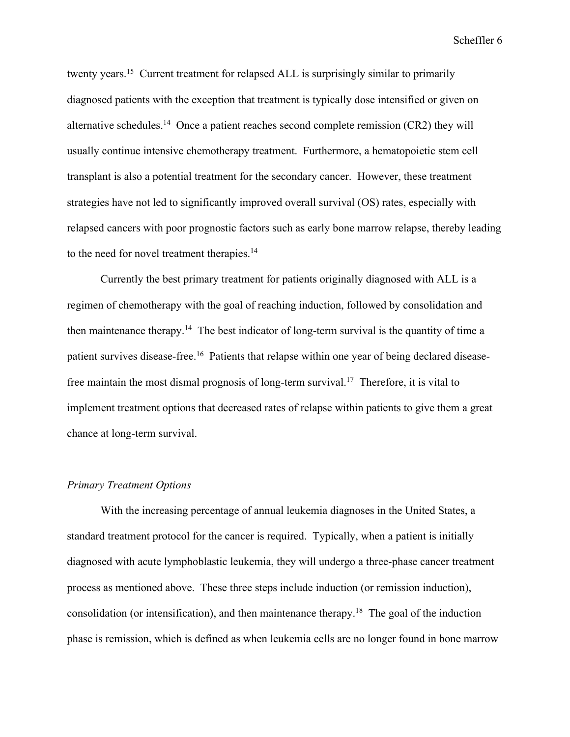twenty years.<sup>15</sup> Current treatment for relapsed ALL is surprisingly similar to primarily diagnosed patients with the exception that treatment is typically dose intensified or given on alternative schedules.<sup>14</sup> Once a patient reaches second complete remission  $(CR2)$  they will usually continue intensive chemotherapy treatment. Furthermore, a hematopoietic stem cell transplant is also a potential treatment for the secondary cancer. However, these treatment strategies have not led to significantly improved overall survival (OS) rates, especially with relapsed cancers with poor prognostic factors such as early bone marrow relapse, thereby leading to the need for novel treatment therapies.<sup>14</sup>

Currently the best primary treatment for patients originally diagnosed with ALL is a regimen of chemotherapy with the goal of reaching induction, followed by consolidation and then maintenance therapy.<sup>14</sup> The best indicator of long-term survival is the quantity of time a patient survives disease-free.<sup>16</sup> Patients that relapse within one year of being declared diseasefree maintain the most dismal prognosis of long-term survival.17 Therefore, it is vital to implement treatment options that decreased rates of relapse within patients to give them a great chance at long-term survival.

#### *Primary Treatment Options*

With the increasing percentage of annual leukemia diagnoses in the United States, a standard treatment protocol for the cancer is required. Typically, when a patient is initially diagnosed with acute lymphoblastic leukemia, they will undergo a three-phase cancer treatment process as mentioned above. These three steps include induction (or remission induction), consolidation (or intensification), and then maintenance therapy.18 The goal of the induction phase is remission, which is defined as when leukemia cells are no longer found in bone marrow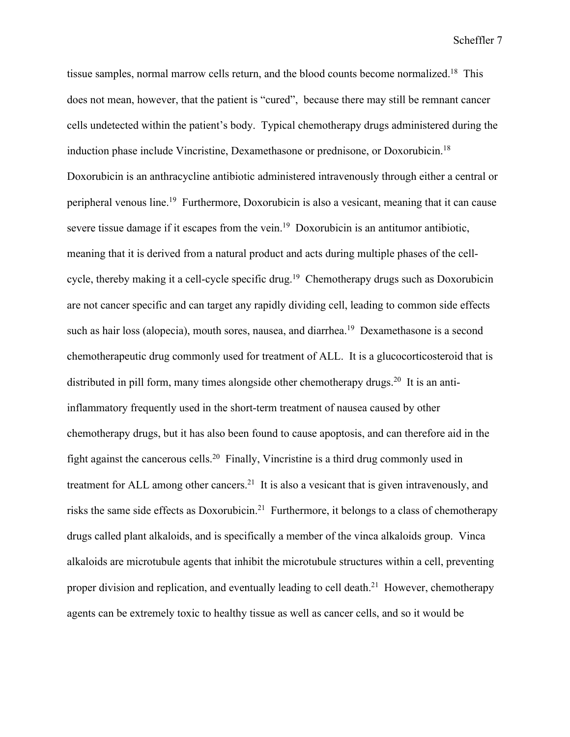tissue samples, normal marrow cells return, and the blood counts become normalized.<sup>18</sup> This does not mean, however, that the patient is "cured", because there may still be remnant cancer cells undetected within the patient's body. Typical chemotherapy drugs administered during the induction phase include Vincristine, Dexamethasone or prednisone, or Doxorubicin.18 Doxorubicin is an anthracycline antibiotic administered intravenously through either a central or peripheral venous line.19 Furthermore, Doxorubicin is also a vesicant, meaning that it can cause severe tissue damage if it escapes from the vein.<sup>19</sup> Doxorubicin is an antitumor antibiotic, meaning that it is derived from a natural product and acts during multiple phases of the cellcycle, thereby making it a cell-cycle specific drug.<sup>19</sup> Chemotherapy drugs such as Doxorubicin are not cancer specific and can target any rapidly dividing cell, leading to common side effects such as hair loss (alopecia), mouth sores, nausea, and diarrhea.<sup>19</sup> Dexamethasone is a second chemotherapeutic drug commonly used for treatment of ALL. It is a glucocorticosteroid that is distributed in pill form, many times alongside other chemotherapy drugs.<sup>20</sup> It is an antiinflammatory frequently used in the short-term treatment of nausea caused by other chemotherapy drugs, but it has also been found to cause apoptosis, and can therefore aid in the fight against the cancerous cells.20 Finally, Vincristine is a third drug commonly used in treatment for ALL among other cancers.<sup>21</sup> It is also a vesicant that is given intravenously, and risks the same side effects as Doxorubicin.21 Furthermore, it belongs to a class of chemotherapy drugs called plant alkaloids, and is specifically a member of the vinca alkaloids group. Vinca alkaloids are microtubule agents that inhibit the microtubule structures within a cell, preventing proper division and replication, and eventually leading to cell death.<sup>21</sup> However, chemotherapy agents can be extremely toxic to healthy tissue as well as cancer cells, and so it would be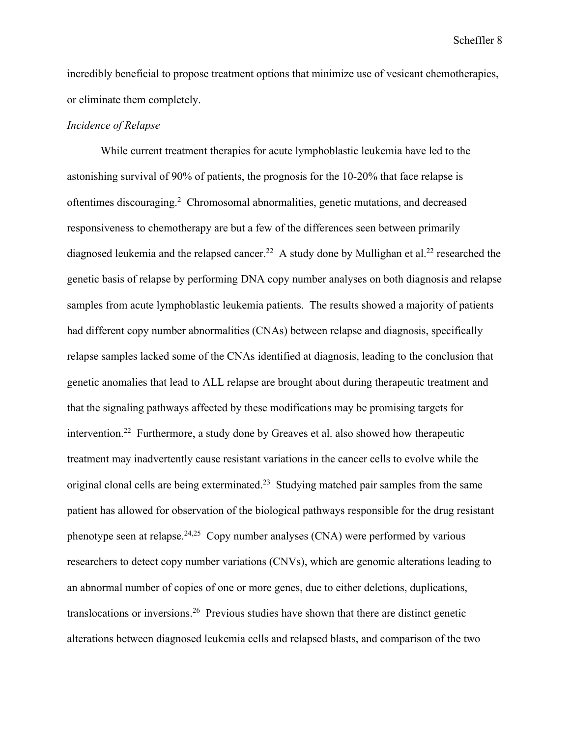incredibly beneficial to propose treatment options that minimize use of vesicant chemotherapies, or eliminate them completely.

## *Incidence of Relapse*

While current treatment therapies for acute lymphoblastic leukemia have led to the astonishing survival of 90% of patients, the prognosis for the 10-20% that face relapse is oftentimes discouraging.<sup>2</sup> Chromosomal abnormalities, genetic mutations, and decreased responsiveness to chemotherapy are but a few of the differences seen between primarily diagnosed leukemia and the relapsed cancer.<sup>22</sup> A study done by Mullighan et al.<sup>22</sup> researched the genetic basis of relapse by performing DNA copy number analyses on both diagnosis and relapse samples from acute lymphoblastic leukemia patients. The results showed a majority of patients had different copy number abnormalities (CNAs) between relapse and diagnosis, specifically relapse samples lacked some of the CNAs identified at diagnosis, leading to the conclusion that genetic anomalies that lead to ALL relapse are brought about during therapeutic treatment and that the signaling pathways affected by these modifications may be promising targets for intervention.22 Furthermore, a study done by Greaves et al. also showed how therapeutic treatment may inadvertently cause resistant variations in the cancer cells to evolve while the original clonal cells are being exterminated.<sup>23</sup> Studying matched pair samples from the same patient has allowed for observation of the biological pathways responsible for the drug resistant phenotype seen at relapse.<sup>24,25</sup> Copy number analyses (CNA) were performed by various researchers to detect copy number variations (CNVs), which are genomic alterations leading to an abnormal number of copies of one or more genes, due to either deletions, duplications, translocations or inversions.26 Previous studies have shown that there are distinct genetic alterations between diagnosed leukemia cells and relapsed blasts, and comparison of the two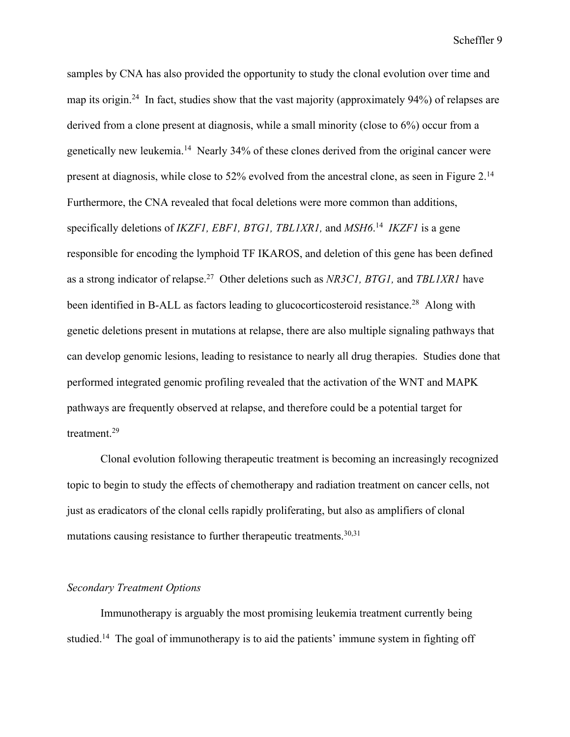samples by CNA has also provided the opportunity to study the clonal evolution over time and map its origin.<sup>24</sup> In fact, studies show that the vast majority (approximately 94%) of relapses are derived from a clone present at diagnosis, while a small minority (close to 6%) occur from a genetically new leukemia.14 Nearly 34% of these clones derived from the original cancer were present at diagnosis, while close to 52% evolved from the ancestral clone, as seen in Figure 2.14 Furthermore, the CNA revealed that focal deletions were more common than additions, specifically deletions of *IKZF1, EBF1, BTG1, TBL1XR1,* and *MSH6*. 14 *IKZF1* is a gene responsible for encoding the lymphoid TF IKAROS, and deletion of this gene has been defined as a strong indicator of relapse.27 Other deletions such as *NR3C1, BTG1,* and *TBL1XR1* have been identified in B-ALL as factors leading to glucocorticosteroid resistance.<sup>28</sup> Along with genetic deletions present in mutations at relapse, there are also multiple signaling pathways that can develop genomic lesions, leading to resistance to nearly all drug therapies. Studies done that performed integrated genomic profiling revealed that the activation of the WNT and MAPK pathways are frequently observed at relapse, and therefore could be a potential target for treatment.29

Clonal evolution following therapeutic treatment is becoming an increasingly recognized topic to begin to study the effects of chemotherapy and radiation treatment on cancer cells, not just as eradicators of the clonal cells rapidly proliferating, but also as amplifiers of clonal mutations causing resistance to further therapeutic treatments.  $30,31$ 

## *Secondary Treatment Options*

Immunotherapy is arguably the most promising leukemia treatment currently being studied.<sup>14</sup> The goal of immunotherapy is to aid the patients' immune system in fighting off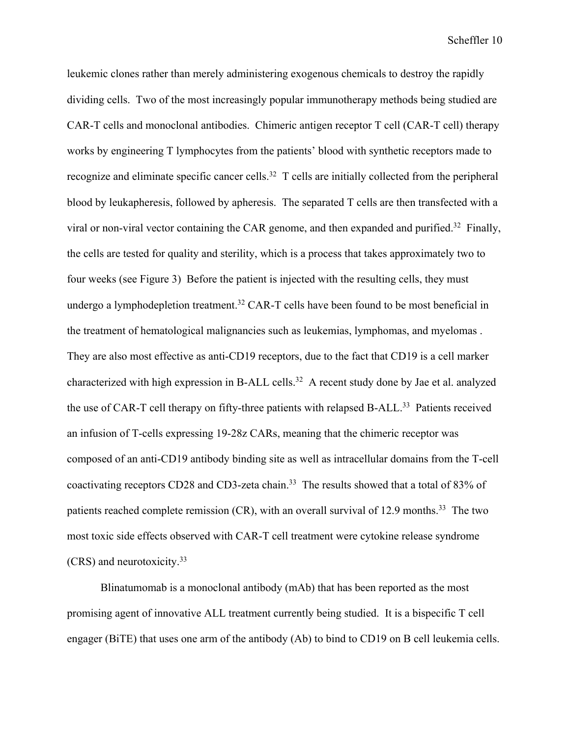leukemic clones rather than merely administering exogenous chemicals to destroy the rapidly dividing cells. Two of the most increasingly popular immunotherapy methods being studied are CAR-T cells and monoclonal antibodies. Chimeric antigen receptor T cell (CAR-T cell) therapy works by engineering T lymphocytes from the patients' blood with synthetic receptors made to recognize and eliminate specific cancer cells.<sup>32</sup> T cells are initially collected from the peripheral blood by leukapheresis, followed by apheresis. The separated T cells are then transfected with a viral or non-viral vector containing the CAR genome, and then expanded and purified.<sup>32</sup> Finally, the cells are tested for quality and sterility, which is a process that takes approximately two to four weeks (see Figure 3) Before the patient is injected with the resulting cells, they must undergo a lymphodepletion treatment.<sup>32</sup> CAR-T cells have been found to be most beneficial in the treatment of hematological malignancies such as leukemias, lymphomas, and myelomas . They are also most effective as anti-CD19 receptors, due to the fact that CD19 is a cell marker characterized with high expression in B-ALL cells.32 A recent study done by Jae et al. analyzed the use of CAR-T cell therapy on fifty-three patients with relapsed B-ALL.<sup>33</sup> Patients received an infusion of T-cells expressing 19-28z CARs, meaning that the chimeric receptor was composed of an anti-CD19 antibody binding site as well as intracellular domains from the T-cell coactivating receptors CD28 and CD3-zeta chain.<sup>33</sup> The results showed that a total of 83% of patients reached complete remission  $(CR)$ , with an overall survival of 12.9 months.<sup>33</sup> The two most toxic side effects observed with CAR-T cell treatment were cytokine release syndrome (CRS) and neurotoxicity.33

Blinatumomab is a monoclonal antibody (mAb) that has been reported as the most promising agent of innovative ALL treatment currently being studied. It is a bispecific T cell engager (BiTE) that uses one arm of the antibody (Ab) to bind to CD19 on B cell leukemia cells.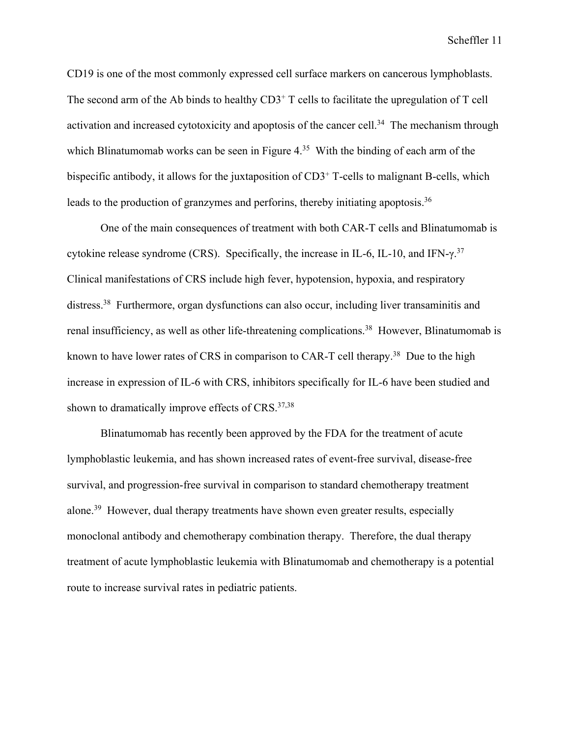CD19 is one of the most commonly expressed cell surface markers on cancerous lymphoblasts. The second arm of the Ab binds to healthy  $CD3<sup>+</sup>$  T cells to facilitate the upregulation of T cell activation and increased cytotoxicity and apoptosis of the cancer cell.<sup>34</sup> The mechanism through which Blinatumomab works can be seen in Figure 4.<sup>35</sup> With the binding of each arm of the bispecific antibody, it allows for the juxtaposition of CD3<sup>+</sup> T-cells to malignant B-cells, which leads to the production of granzymes and perforins, thereby initiating apoptosis.<sup>36</sup>

One of the main consequences of treatment with both CAR-T cells and Blinatumomab is cytokine release syndrome (CRS). Specifically, the increase in IL-6, IL-10, and IFN- $\gamma$ .<sup>37</sup> Clinical manifestations of CRS include high fever, hypotension, hypoxia, and respiratory distress.<sup>38</sup> Furthermore, organ dysfunctions can also occur, including liver transaminitis and renal insufficiency, as well as other life-threatening complications.<sup>38</sup> However, Blinatumomab is known to have lower rates of CRS in comparison to CAR-T cell therapy.<sup>38</sup> Due to the high increase in expression of IL-6 with CRS, inhibitors specifically for IL-6 have been studied and shown to dramatically improve effects of CRS.<sup>37,38</sup>

Blinatumomab has recently been approved by the FDA for the treatment of acute lymphoblastic leukemia, and has shown increased rates of event-free survival, disease-free survival, and progression-free survival in comparison to standard chemotherapy treatment alone.39 However, dual therapy treatments have shown even greater results, especially monoclonal antibody and chemotherapy combination therapy. Therefore, the dual therapy treatment of acute lymphoblastic leukemia with Blinatumomab and chemotherapy is a potential route to increase survival rates in pediatric patients.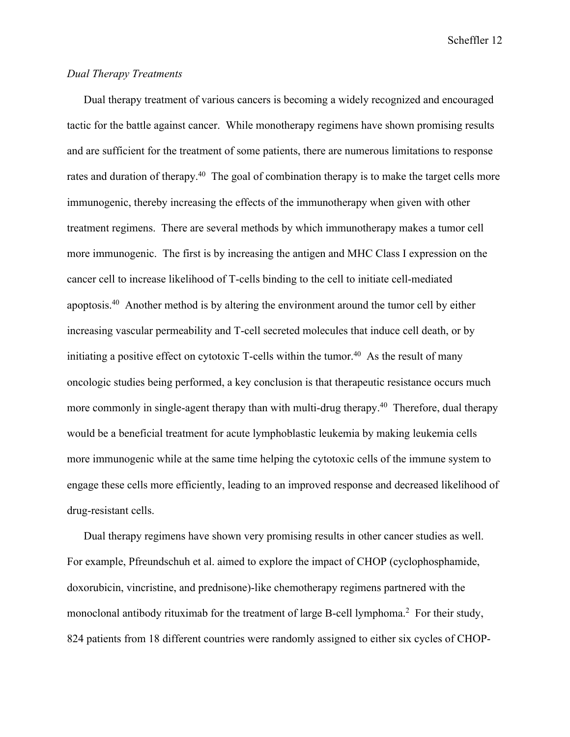## *Dual Therapy Treatments*

Dual therapy treatment of various cancers is becoming a widely recognized and encouraged tactic for the battle against cancer. While monotherapy regimens have shown promising results and are sufficient for the treatment of some patients, there are numerous limitations to response rates and duration of therapy.<sup>40</sup> The goal of combination therapy is to make the target cells more immunogenic, thereby increasing the effects of the immunotherapy when given with other treatment regimens. There are several methods by which immunotherapy makes a tumor cell more immunogenic. The first is by increasing the antigen and MHC Class I expression on the cancer cell to increase likelihood of T-cells binding to the cell to initiate cell-mediated apoptosis.40 Another method is by altering the environment around the tumor cell by either increasing vascular permeability and T-cell secreted molecules that induce cell death, or by initiating a positive effect on cytotoxic T-cells within the tumor.<sup>40</sup> As the result of many oncologic studies being performed, a key conclusion is that therapeutic resistance occurs much more commonly in single-agent therapy than with multi-drug therapy.<sup>40</sup> Therefore, dual therapy would be a beneficial treatment for acute lymphoblastic leukemia by making leukemia cells more immunogenic while at the same time helping the cytotoxic cells of the immune system to engage these cells more efficiently, leading to an improved response and decreased likelihood of drug-resistant cells.

Dual therapy regimens have shown very promising results in other cancer studies as well. For example, Pfreundschuh et al. aimed to explore the impact of CHOP (cyclophosphamide, doxorubicin, vincristine, and prednisone)-like chemotherapy regimens partnered with the monoclonal antibody rituximab for the treatment of large B-cell lymphoma.<sup>2</sup> For their study, 824 patients from 18 different countries were randomly assigned to either six cycles of CHOP-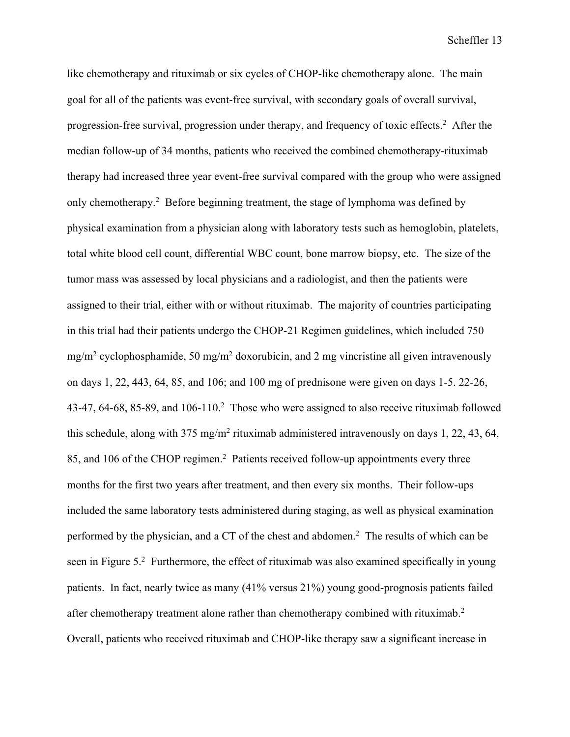like chemotherapy and rituximab or six cycles of CHOP-like chemotherapy alone. The main goal for all of the patients was event-free survival, with secondary goals of overall survival, progression-free survival, progression under therapy, and frequency of toxic effects.<sup>2</sup> After the median follow-up of 34 months, patients who received the combined chemotherapy-rituximab therapy had increased three year event-free survival compared with the group who were assigned only chemotherapy.<sup>2</sup> Before beginning treatment, the stage of lymphoma was defined by physical examination from a physician along with laboratory tests such as hemoglobin, platelets, total white blood cell count, differential WBC count, bone marrow biopsy, etc. The size of the tumor mass was assessed by local physicians and a radiologist, and then the patients were assigned to their trial, either with or without rituximab. The majority of countries participating in this trial had their patients undergo the CHOP-21 Regimen guidelines, which included 750  $mg/m^2$  cyclophosphamide, 50 mg/m<sup>2</sup> doxorubicin, and 2 mg vincristine all given intravenously on days 1, 22, 443, 64, 85, and 106; and 100 mg of prednisone were given on days 1-5. 22-26, 43-47, 64-68, 85-89, and  $106-110$ <sup>2</sup> Those who were assigned to also receive rituximab followed this schedule, along with 375 mg/m2 rituximab administered intravenously on days 1, 22, 43, 64, 85, and 106 of the CHOP regimen.<sup>2</sup> Patients received follow-up appointments every three months for the first two years after treatment, and then every six months. Their follow-ups included the same laboratory tests administered during staging, as well as physical examination performed by the physician, and a CT of the chest and abdomen.<sup>2</sup> The results of which can be seen in Figure 5.<sup>2</sup> Furthermore, the effect of rituximab was also examined specifically in young patients. In fact, nearly twice as many (41% versus 21%) young good-prognosis patients failed after chemotherapy treatment alone rather than chemotherapy combined with rituximab.<sup>2</sup> Overall, patients who received rituximab and CHOP-like therapy saw a significant increase in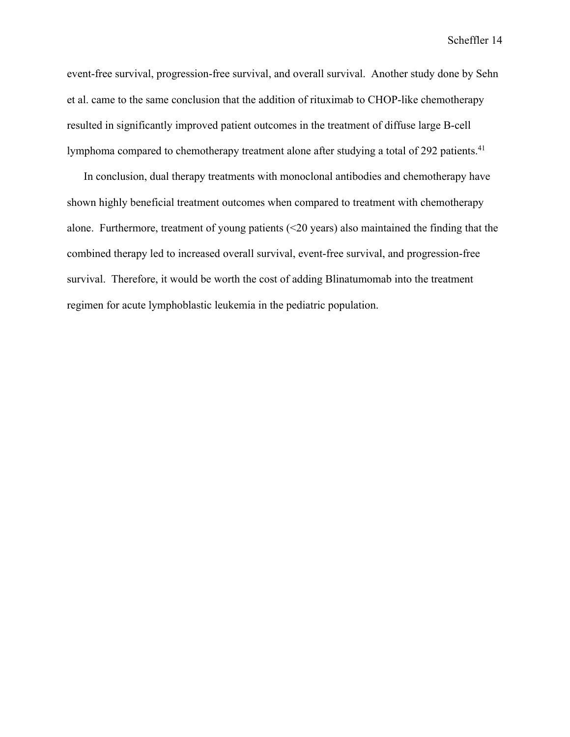event-free survival, progression-free survival, and overall survival. Another study done by Sehn et al. came to the same conclusion that the addition of rituximab to CHOP-like chemotherapy resulted in significantly improved patient outcomes in the treatment of diffuse large B-cell lymphoma compared to chemotherapy treatment alone after studying a total of 292 patients.<sup>41</sup>

In conclusion, dual therapy treatments with monoclonal antibodies and chemotherapy have shown highly beneficial treatment outcomes when compared to treatment with chemotherapy alone. Furthermore, treatment of young patients (<20 years) also maintained the finding that the combined therapy led to increased overall survival, event-free survival, and progression-free survival. Therefore, it would be worth the cost of adding Blinatumomab into the treatment regimen for acute lymphoblastic leukemia in the pediatric population.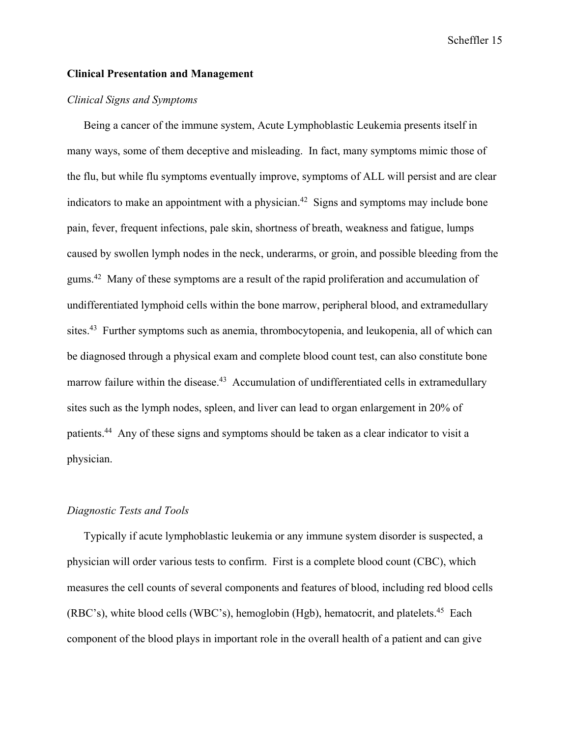## **Clinical Presentation and Management**

# *Clinical Signs and Symptoms*

Being a cancer of the immune system, Acute Lymphoblastic Leukemia presents itself in many ways, some of them deceptive and misleading. In fact, many symptoms mimic those of the flu, but while flu symptoms eventually improve, symptoms of ALL will persist and are clear indicators to make an appointment with a physician.<sup>42</sup> Signs and symptoms may include bone pain, fever, frequent infections, pale skin, shortness of breath, weakness and fatigue, lumps caused by swollen lymph nodes in the neck, underarms, or groin, and possible bleeding from the gums.42 Many of these symptoms are a result of the rapid proliferation and accumulation of undifferentiated lymphoid cells within the bone marrow, peripheral blood, and extramedullary sites.<sup>43</sup> Further symptoms such as anemia, thrombocytopenia, and leukopenia, all of which can be diagnosed through a physical exam and complete blood count test, can also constitute bone marrow failure within the disease.<sup>43</sup> Accumulation of undifferentiated cells in extramedullary sites such as the lymph nodes, spleen, and liver can lead to organ enlargement in 20% of patients.44 Any of these signs and symptoms should be taken as a clear indicator to visit a physician.

#### *Diagnostic Tests and Tools*

Typically if acute lymphoblastic leukemia or any immune system disorder is suspected, a physician will order various tests to confirm. First is a complete blood count (CBC), which measures the cell counts of several components and features of blood, including red blood cells (RBC's), white blood cells (WBC's), hemoglobin (Hgb), hematocrit, and platelets.<sup>45</sup> Each component of the blood plays in important role in the overall health of a patient and can give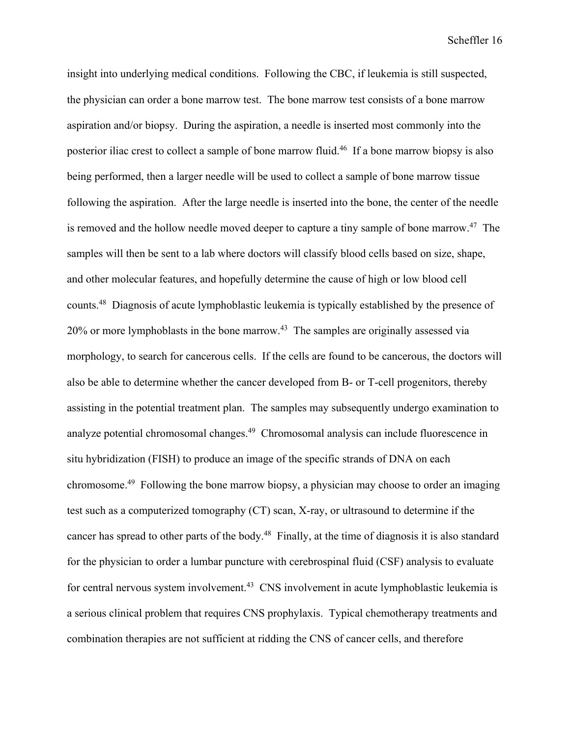insight into underlying medical conditions. Following the CBC, if leukemia is still suspected, the physician can order a bone marrow test. The bone marrow test consists of a bone marrow aspiration and/or biopsy. During the aspiration, a needle is inserted most commonly into the posterior iliac crest to collect a sample of bone marrow fluid.<sup>46</sup> If a bone marrow biopsy is also being performed, then a larger needle will be used to collect a sample of bone marrow tissue following the aspiration. After the large needle is inserted into the bone, the center of the needle is removed and the hollow needle moved deeper to capture a tiny sample of bone marrow.<sup>47</sup> The samples will then be sent to a lab where doctors will classify blood cells based on size, shape, and other molecular features, and hopefully determine the cause of high or low blood cell counts.48 Diagnosis of acute lymphoblastic leukemia is typically established by the presence of  $20\%$  or more lymphoblasts in the bone marrow.<sup>43</sup> The samples are originally assessed via morphology, to search for cancerous cells. If the cells are found to be cancerous, the doctors will also be able to determine whether the cancer developed from B- or T-cell progenitors, thereby assisting in the potential treatment plan. The samples may subsequently undergo examination to analyze potential chromosomal changes.49 Chromosomal analysis can include fluorescence in situ hybridization (FISH) to produce an image of the specific strands of DNA on each chromosome.49 Following the bone marrow biopsy, a physician may choose to order an imaging test such as a computerized tomography (CT) scan, X-ray, or ultrasound to determine if the cancer has spread to other parts of the body.<sup>48</sup> Finally, at the time of diagnosis it is also standard for the physician to order a lumbar puncture with cerebrospinal fluid (CSF) analysis to evaluate for central nervous system involvement.<sup>43</sup> CNS involvement in acute lymphoblastic leukemia is a serious clinical problem that requires CNS prophylaxis. Typical chemotherapy treatments and combination therapies are not sufficient at ridding the CNS of cancer cells, and therefore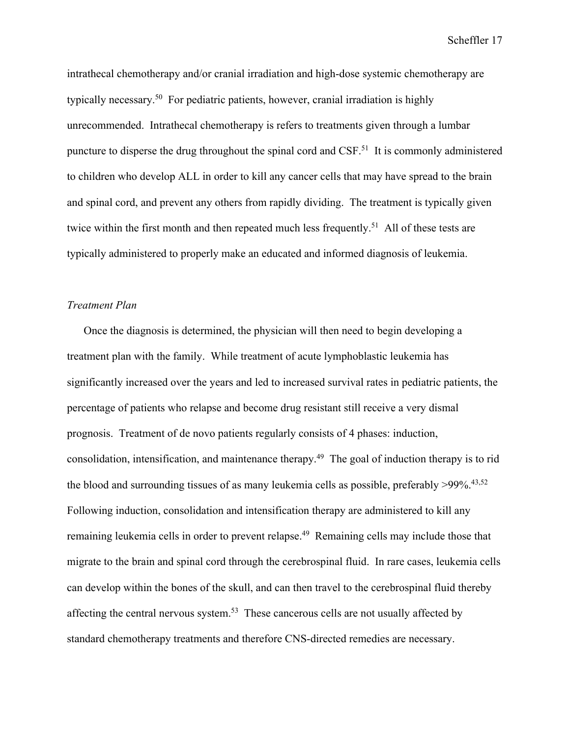intrathecal chemotherapy and/or cranial irradiation and high-dose systemic chemotherapy are typically necessary.<sup>50</sup> For pediatric patients, however, cranial irradiation is highly unrecommended. Intrathecal chemotherapy is refers to treatments given through a lumbar puncture to disperse the drug throughout the spinal cord and CSF.51 It is commonly administered to children who develop ALL in order to kill any cancer cells that may have spread to the brain and spinal cord, and prevent any others from rapidly dividing. The treatment is typically given twice within the first month and then repeated much less frequently.<sup>51</sup> All of these tests are typically administered to properly make an educated and informed diagnosis of leukemia.

# *Treatment Plan*

Once the diagnosis is determined, the physician will then need to begin developing a treatment plan with the family. While treatment of acute lymphoblastic leukemia has significantly increased over the years and led to increased survival rates in pediatric patients, the percentage of patients who relapse and become drug resistant still receive a very dismal prognosis. Treatment of de novo patients regularly consists of 4 phases: induction, consolidation, intensification, and maintenance therapy.49 The goal of induction therapy is to rid the blood and surrounding tissues of as many leukemia cells as possible, preferably  $>99\%$ .<sup>43,52</sup> Following induction, consolidation and intensification therapy are administered to kill any remaining leukemia cells in order to prevent relapse.<sup>49</sup> Remaining cells may include those that migrate to the brain and spinal cord through the cerebrospinal fluid. In rare cases, leukemia cells can develop within the bones of the skull, and can then travel to the cerebrospinal fluid thereby affecting the central nervous system.53 These cancerous cells are not usually affected by standard chemotherapy treatments and therefore CNS-directed remedies are necessary.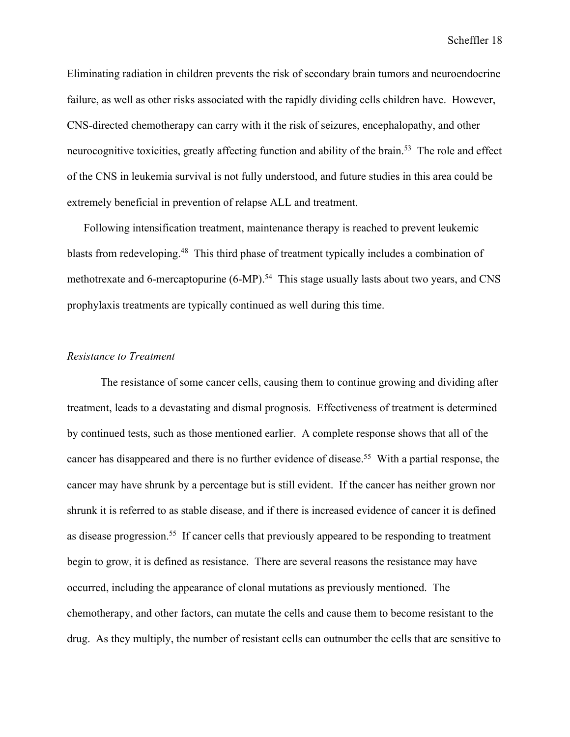Eliminating radiation in children prevents the risk of secondary brain tumors and neuroendocrine failure, as well as other risks associated with the rapidly dividing cells children have. However, CNS-directed chemotherapy can carry with it the risk of seizures, encephalopathy, and other neurocognitive toxicities, greatly affecting function and ability of the brain.<sup>53</sup> The role and effect of the CNS in leukemia survival is not fully understood, and future studies in this area could be extremely beneficial in prevention of relapse ALL and treatment.

Following intensification treatment, maintenance therapy is reached to prevent leukemic blasts from redeveloping.<sup>48</sup> This third phase of treatment typically includes a combination of methotrexate and 6-mercaptopurine (6-MP).<sup>54</sup> This stage usually lasts about two years, and CNS prophylaxis treatments are typically continued as well during this time.

#### *Resistance to Treatment*

The resistance of some cancer cells, causing them to continue growing and dividing after treatment, leads to a devastating and dismal prognosis. Effectiveness of treatment is determined by continued tests, such as those mentioned earlier. A complete response shows that all of the cancer has disappeared and there is no further evidence of disease.<sup>55</sup> With a partial response, the cancer may have shrunk by a percentage but is still evident. If the cancer has neither grown nor shrunk it is referred to as stable disease, and if there is increased evidence of cancer it is defined as disease progression.55 If cancer cells that previously appeared to be responding to treatment begin to grow, it is defined as resistance. There are several reasons the resistance may have occurred, including the appearance of clonal mutations as previously mentioned. The chemotherapy, and other factors, can mutate the cells and cause them to become resistant to the drug. As they multiply, the number of resistant cells can outnumber the cells that are sensitive to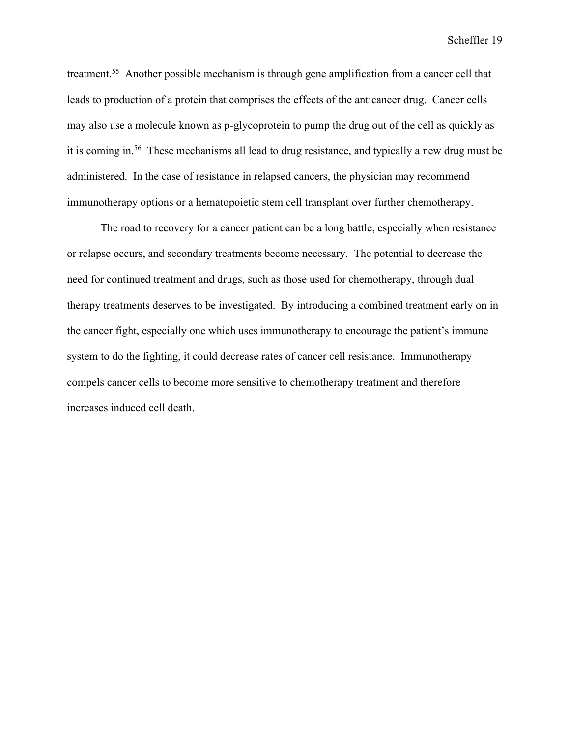treatment.55 Another possible mechanism is through gene amplification from a cancer cell that leads to production of a protein that comprises the effects of the anticancer drug. Cancer cells may also use a molecule known as p-glycoprotein to pump the drug out of the cell as quickly as it is coming in.56 These mechanisms all lead to drug resistance, and typically a new drug must be administered. In the case of resistance in relapsed cancers, the physician may recommend immunotherapy options or a hematopoietic stem cell transplant over further chemotherapy.

The road to recovery for a cancer patient can be a long battle, especially when resistance or relapse occurs, and secondary treatments become necessary. The potential to decrease the need for continued treatment and drugs, such as those used for chemotherapy, through dual therapy treatments deserves to be investigated. By introducing a combined treatment early on in the cancer fight, especially one which uses immunotherapy to encourage the patient's immune system to do the fighting, it could decrease rates of cancer cell resistance. Immunotherapy compels cancer cells to become more sensitive to chemotherapy treatment and therefore increases induced cell death.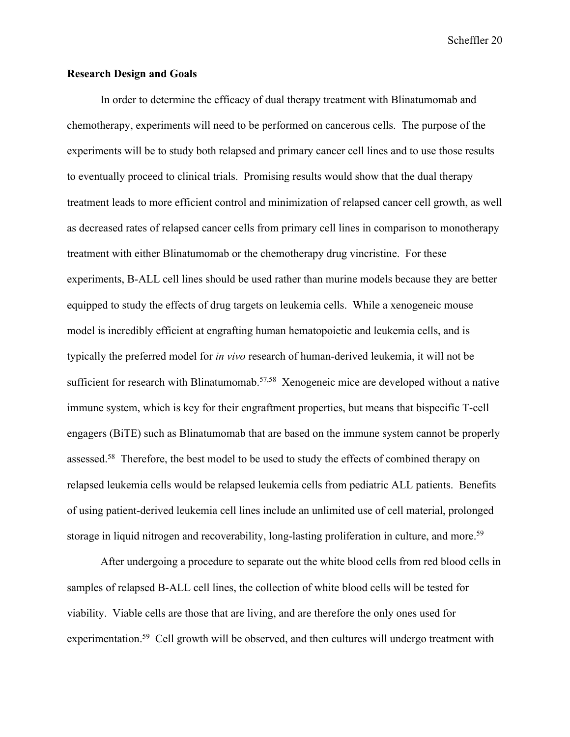### **Research Design and Goals**

In order to determine the efficacy of dual therapy treatment with Blinatumomab and chemotherapy, experiments will need to be performed on cancerous cells. The purpose of the experiments will be to study both relapsed and primary cancer cell lines and to use those results to eventually proceed to clinical trials. Promising results would show that the dual therapy treatment leads to more efficient control and minimization of relapsed cancer cell growth, as well as decreased rates of relapsed cancer cells from primary cell lines in comparison to monotherapy treatment with either Blinatumomab or the chemotherapy drug vincristine. For these experiments, B-ALL cell lines should be used rather than murine models because they are better equipped to study the effects of drug targets on leukemia cells. While a xenogeneic mouse model is incredibly efficient at engrafting human hematopoietic and leukemia cells, and is typically the preferred model for *in vivo* research of human-derived leukemia, it will not be sufficient for research with Blinatumomab.<sup>57,58</sup> Xenogeneic mice are developed without a native immune system, which is key for their engraftment properties, but means that bispecific T-cell engagers (BiTE) such as Blinatumomab that are based on the immune system cannot be properly assessed.<sup>58</sup> Therefore, the best model to be used to study the effects of combined therapy on relapsed leukemia cells would be relapsed leukemia cells from pediatric ALL patients. Benefits of using patient-derived leukemia cell lines include an unlimited use of cell material, prolonged storage in liquid nitrogen and recoverability, long-lasting proliferation in culture, and more.<sup>59</sup>

After undergoing a procedure to separate out the white blood cells from red blood cells in samples of relapsed B-ALL cell lines, the collection of white blood cells will be tested for viability. Viable cells are those that are living, and are therefore the only ones used for experimentation.<sup>59</sup> Cell growth will be observed, and then cultures will undergo treatment with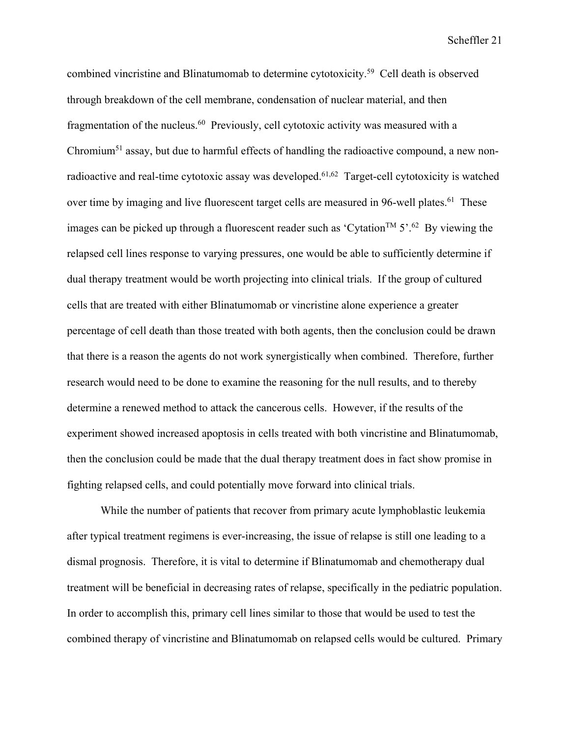combined vincristine and Blinatumomab to determine cytotoxicity.59 Cell death is observed through breakdown of the cell membrane, condensation of nuclear material, and then fragmentation of the nucleus.<sup>60</sup> Previously, cell cytotoxic activity was measured with a Chromium<sup>51</sup> assay, but due to harmful effects of handling the radioactive compound, a new nonradioactive and real-time cytotoxic assay was developed.61,62 Target-cell cytotoxicity is watched over time by imaging and live fluorescent target cells are measured in 96-well plates.<sup>61</sup> These images can be picked up through a fluorescent reader such as 'Cytation<sup>TM</sup>  $5'.^{62}$  By viewing the relapsed cell lines response to varying pressures, one would be able to sufficiently determine if dual therapy treatment would be worth projecting into clinical trials. If the group of cultured cells that are treated with either Blinatumomab or vincristine alone experience a greater percentage of cell death than those treated with both agents, then the conclusion could be drawn that there is a reason the agents do not work synergistically when combined. Therefore, further research would need to be done to examine the reasoning for the null results, and to thereby determine a renewed method to attack the cancerous cells. However, if the results of the experiment showed increased apoptosis in cells treated with both vincristine and Blinatumomab, then the conclusion could be made that the dual therapy treatment does in fact show promise in fighting relapsed cells, and could potentially move forward into clinical trials.

While the number of patients that recover from primary acute lymphoblastic leukemia after typical treatment regimens is ever-increasing, the issue of relapse is still one leading to a dismal prognosis. Therefore, it is vital to determine if Blinatumomab and chemotherapy dual treatment will be beneficial in decreasing rates of relapse, specifically in the pediatric population. In order to accomplish this, primary cell lines similar to those that would be used to test the combined therapy of vincristine and Blinatumomab on relapsed cells would be cultured. Primary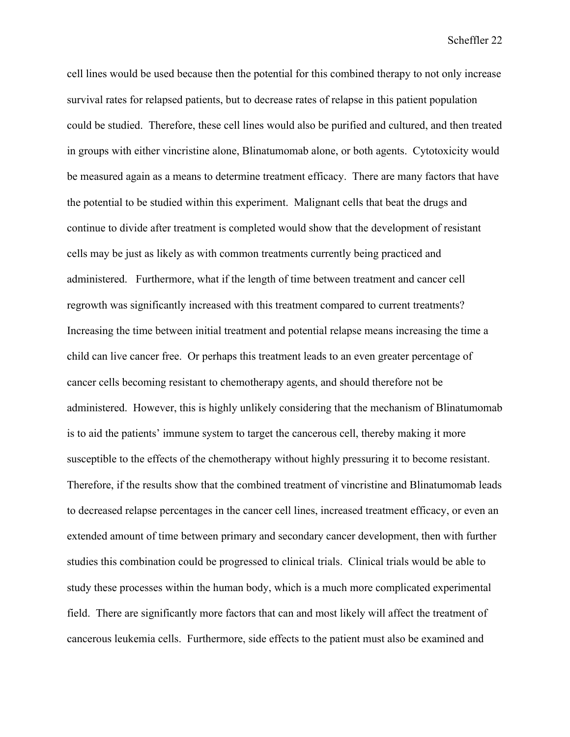cell lines would be used because then the potential for this combined therapy to not only increase survival rates for relapsed patients, but to decrease rates of relapse in this patient population could be studied. Therefore, these cell lines would also be purified and cultured, and then treated in groups with either vincristine alone, Blinatumomab alone, or both agents. Cytotoxicity would be measured again as a means to determine treatment efficacy. There are many factors that have the potential to be studied within this experiment. Malignant cells that beat the drugs and continue to divide after treatment is completed would show that the development of resistant cells may be just as likely as with common treatments currently being practiced and administered. Furthermore, what if the length of time between treatment and cancer cell regrowth was significantly increased with this treatment compared to current treatments? Increasing the time between initial treatment and potential relapse means increasing the time a child can live cancer free. Or perhaps this treatment leads to an even greater percentage of cancer cells becoming resistant to chemotherapy agents, and should therefore not be administered. However, this is highly unlikely considering that the mechanism of Blinatumomab is to aid the patients' immune system to target the cancerous cell, thereby making it more susceptible to the effects of the chemotherapy without highly pressuring it to become resistant. Therefore, if the results show that the combined treatment of vincristine and Blinatumomab leads to decreased relapse percentages in the cancer cell lines, increased treatment efficacy, or even an extended amount of time between primary and secondary cancer development, then with further studies this combination could be progressed to clinical trials. Clinical trials would be able to study these processes within the human body, which is a much more complicated experimental field. There are significantly more factors that can and most likely will affect the treatment of cancerous leukemia cells. Furthermore, side effects to the patient must also be examined and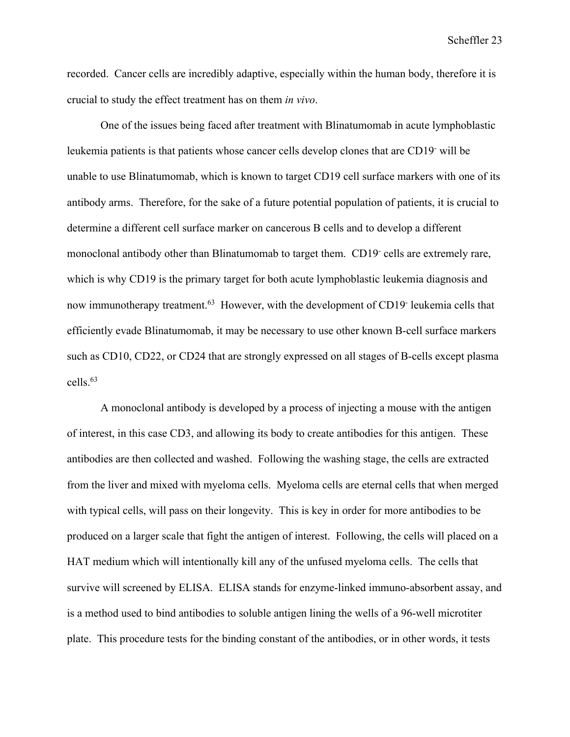recorded. Cancer cells are incredibly adaptive, especially within the human body, therefore it is crucial to study the effect treatment has on them *in vivo*.

One of the issues being faced after treatment with Blinatumomab in acute lymphoblastic leukemia patients is that patients whose cancer cells develop clones that are CD19- will be unable to use Blinatumomab, which is known to target CD19 cell surface markers with one of its antibody arms. Therefore, for the sake of a future potential population of patients, it is crucial to determine a different cell surface marker on cancerous B cells and to develop a different monoclonal antibody other than Blinatumomab to target them. CD19- cells are extremely rare, which is why CD19 is the primary target for both acute lymphoblastic leukemia diagnosis and now immunotherapy treatment.<sup>63</sup> However, with the development of CD19<sup>-</sup> leukemia cells that efficiently evade Blinatumomab, it may be necessary to use other known B-cell surface markers such as CD10, CD22, or CD24 that are strongly expressed on all stages of B-cells except plasma cells.63

A monoclonal antibody is developed by a process of injecting a mouse with the antigen of interest, in this case CD3, and allowing its body to create antibodies for this antigen. These antibodies are then collected and washed. Following the washing stage, the cells are extracted from the liver and mixed with myeloma cells. Myeloma cells are eternal cells that when merged with typical cells, will pass on their longevity. This is key in order for more antibodies to be produced on a larger scale that fight the antigen of interest. Following, the cells will placed on a HAT medium which will intentionally kill any of the unfused myeloma cells. The cells that survive will screened by ELISA. ELISA stands for enzyme-linked immuno-absorbent assay, and is a method used to bind antibodies to soluble antigen lining the wells of a 96-well microtiter plate. This procedure tests for the binding constant of the antibodies, or in other words, it tests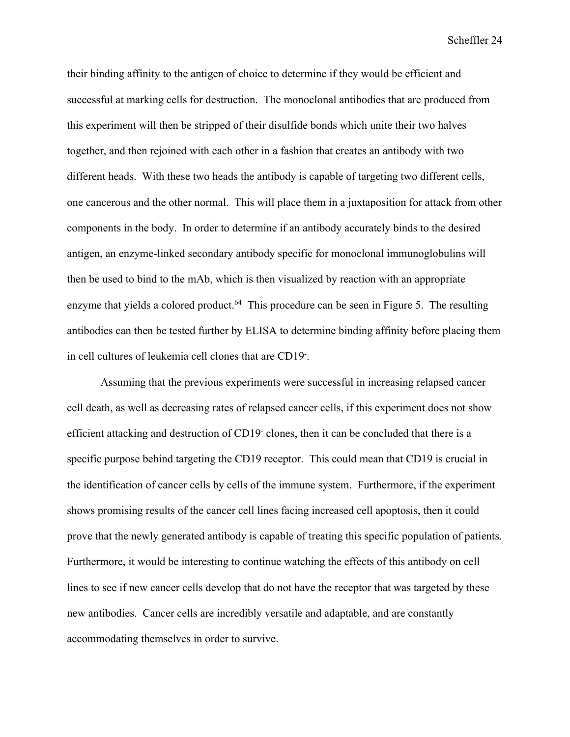their binding affinity to the antigen of choice to determine if they would be efficient and successful at marking cells for destruction. The monoclonal antibodies that are produced from this experiment will then be stripped of their disulfide bonds which unite their two halves together, and then rejoined with each other in a fashion that creates an antibody with two different heads. With these two heads the antibody is capable of targeting two different cells, one cancerous and the other normal. This will place them in a juxtaposition for attack from other components in the body. In order to determine if an antibody accurately binds to the desired antigen, an enzyme-linked secondary antibody specific for monoclonal immunoglobulins will then be used to bind to the mAb, which is then visualized by reaction with an appropriate enzyme that yields a colored product.<sup>64</sup> This procedure can be seen in Figure 5. The resulting antibodies can then be tested further by ELISA to determine binding affinity before placing them in cell cultures of leukemia cell clones that are CD19- .

Assuming that the previous experiments were successful in increasing relapsed cancer cell death, as well as decreasing rates of relapsed cancer cells, if this experiment does not show efficient attacking and destruction of CD19- clones, then it can be concluded that there is a specific purpose behind targeting the CD19 receptor. This could mean that CD19 is crucial in the identification of cancer cells by cells of the immune system. Furthermore, if the experiment shows promising results of the cancer cell lines facing increased cell apoptosis, then it could prove that the newly generated antibody is capable of treating this specific population of patients. Furthermore, it would be interesting to continue watching the effects of this antibody on cell lines to see if new cancer cells develop that do not have the receptor that was targeted by these new antibodies. Cancer cells are incredibly versatile and adaptable, and are constantly accommodating themselves in order to survive.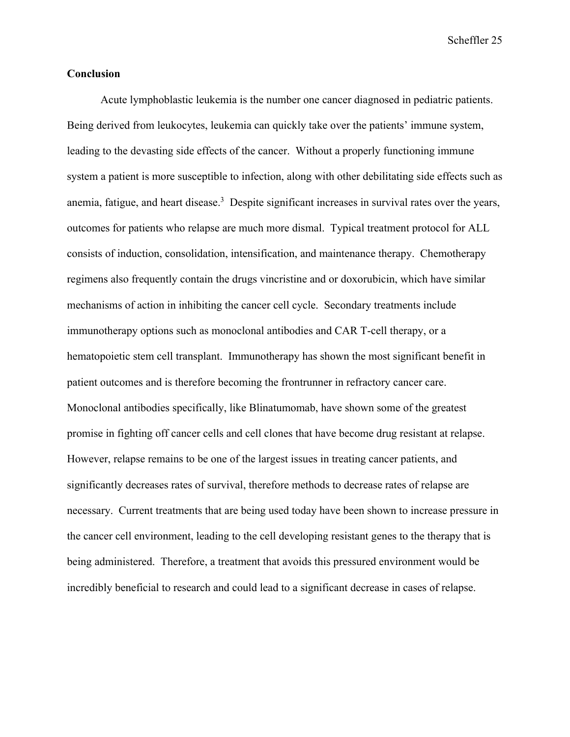#### **Conclusion**

Acute lymphoblastic leukemia is the number one cancer diagnosed in pediatric patients. Being derived from leukocytes, leukemia can quickly take over the patients' immune system, leading to the devasting side effects of the cancer. Without a properly functioning immune system a patient is more susceptible to infection, along with other debilitating side effects such as anemia, fatigue, and heart disease.<sup>3</sup> Despite significant increases in survival rates over the years, outcomes for patients who relapse are much more dismal. Typical treatment protocol for ALL consists of induction, consolidation, intensification, and maintenance therapy. Chemotherapy regimens also frequently contain the drugs vincristine and or doxorubicin, which have similar mechanisms of action in inhibiting the cancer cell cycle. Secondary treatments include immunotherapy options such as monoclonal antibodies and CAR T-cell therapy, or a hematopoietic stem cell transplant. Immunotherapy has shown the most significant benefit in patient outcomes and is therefore becoming the frontrunner in refractory cancer care. Monoclonal antibodies specifically, like Blinatumomab, have shown some of the greatest promise in fighting off cancer cells and cell clones that have become drug resistant at relapse. However, relapse remains to be one of the largest issues in treating cancer patients, and significantly decreases rates of survival, therefore methods to decrease rates of relapse are necessary. Current treatments that are being used today have been shown to increase pressure in the cancer cell environment, leading to the cell developing resistant genes to the therapy that is being administered. Therefore, a treatment that avoids this pressured environment would be incredibly beneficial to research and could lead to a significant decrease in cases of relapse.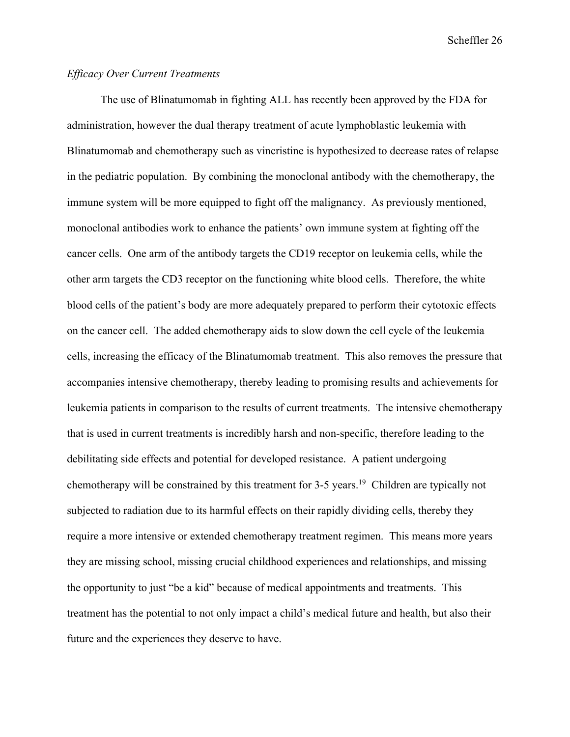# *Efficacy Over Current Treatments*

The use of Blinatumomab in fighting ALL has recently been approved by the FDA for administration, however the dual therapy treatment of acute lymphoblastic leukemia with Blinatumomab and chemotherapy such as vincristine is hypothesized to decrease rates of relapse in the pediatric population. By combining the monoclonal antibody with the chemotherapy, the immune system will be more equipped to fight off the malignancy. As previously mentioned, monoclonal antibodies work to enhance the patients' own immune system at fighting off the cancer cells. One arm of the antibody targets the CD19 receptor on leukemia cells, while the other arm targets the CD3 receptor on the functioning white blood cells. Therefore, the white blood cells of the patient's body are more adequately prepared to perform their cytotoxic effects on the cancer cell. The added chemotherapy aids to slow down the cell cycle of the leukemia cells, increasing the efficacy of the Blinatumomab treatment. This also removes the pressure that accompanies intensive chemotherapy, thereby leading to promising results and achievements for leukemia patients in comparison to the results of current treatments. The intensive chemotherapy that is used in current treatments is incredibly harsh and non-specific, therefore leading to the debilitating side effects and potential for developed resistance. A patient undergoing chemotherapy will be constrained by this treatment for 3-5 years.<sup>19</sup> Children are typically not subjected to radiation due to its harmful effects on their rapidly dividing cells, thereby they require a more intensive or extended chemotherapy treatment regimen. This means more years they are missing school, missing crucial childhood experiences and relationships, and missing the opportunity to just "be a kid" because of medical appointments and treatments. This treatment has the potential to not only impact a child's medical future and health, but also their future and the experiences they deserve to have.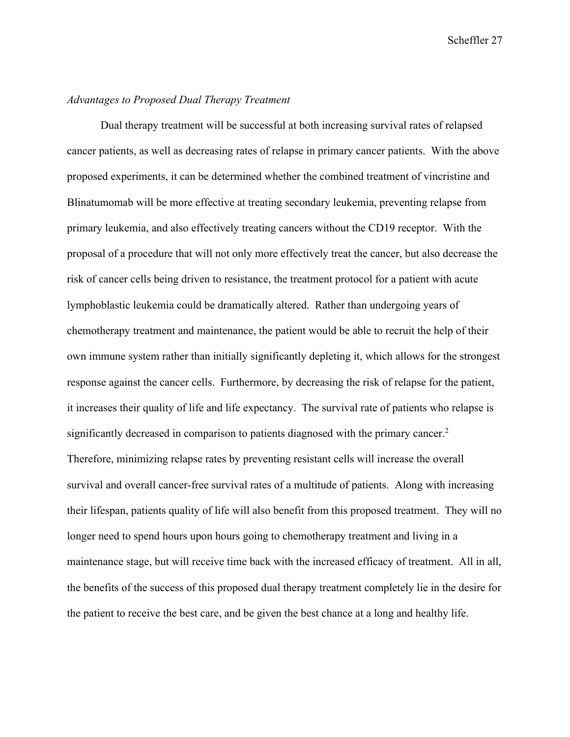# *Advantages to Proposed Dual Therapy Treatment*

Dual therapy treatment will be successful at both increasing survival rates of relapsed cancer patients, as well as decreasing rates of relapse in primary cancer patients. With the above proposed experiments, it can be determined whether the combined treatment of vincristine and Blinatumomab will be more effective at treating secondary leukemia, preventing relapse from primary leukemia, and also effectively treating cancers without the CD19 receptor. With the proposal of a procedure that will not only more effectively treat the cancer, but also decrease the risk of cancer cells being driven to resistance, the treatment protocol for a patient with acute lymphoblastic leukemia could be dramatically altered. Rather than undergoing years of chemotherapy treatment and maintenance, the patient would be able to recruit the help of their own immune system rather than initially significantly depleting it, which allows for the strongest response against the cancer cells. Furthermore, by decreasing the risk of relapse for the patient, it increases their quality of life and life expectancy. The survival rate of patients who relapse is significantly decreased in comparison to patients diagnosed with the primary cancer.<sup>2</sup> Therefore, minimizing relapse rates by preventing resistant cells will increase the overall survival and overall cancer-free survival rates of a multitude of patients. Along with increasing their lifespan, patients quality of life will also benefit from this proposed treatment. They will no longer need to spend hours upon hours going to chemotherapy treatment and living in a maintenance stage, but will receive time back with the increased efficacy of treatment. All in all, the benefits of the success of this proposed dual therapy treatment completely lie in the desire for the patient to receive the best care, and be given the best chance at a long and healthy life.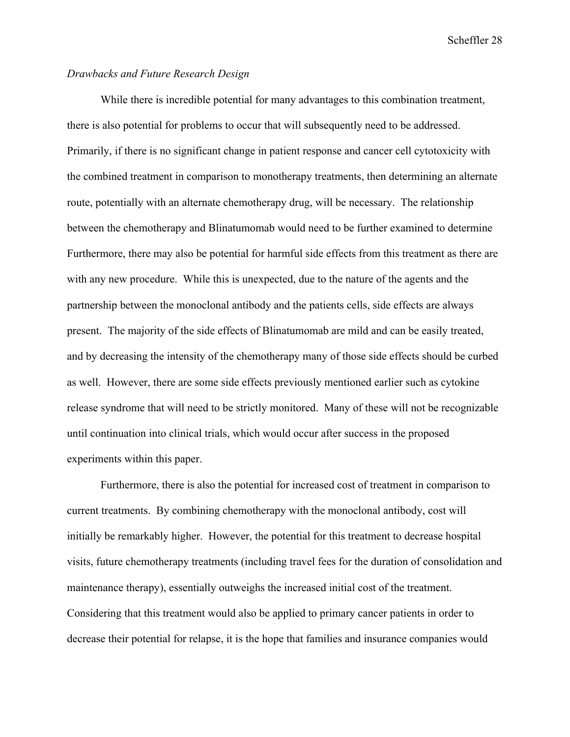## *Drawbacks and Future Research Design*

While there is incredible potential for many advantages to this combination treatment, there is also potential for problems to occur that will subsequently need to be addressed. Primarily, if there is no significant change in patient response and cancer cell cytotoxicity with the combined treatment in comparison to monotherapy treatments, then determining an alternate route, potentially with an alternate chemotherapy drug, will be necessary. The relationship between the chemotherapy and Blinatumomab would need to be further examined to determine Furthermore, there may also be potential for harmful side effects from this treatment as there are with any new procedure. While this is unexpected, due to the nature of the agents and the partnership between the monoclonal antibody and the patients cells, side effects are always present. The majority of the side effects of Blinatumomab are mild and can be easily treated, and by decreasing the intensity of the chemotherapy many of those side effects should be curbed as well. However, there are some side effects previously mentioned earlier such as cytokine release syndrome that will need to be strictly monitored. Many of these will not be recognizable until continuation into clinical trials, which would occur after success in the proposed experiments within this paper.

Furthermore, there is also the potential for increased cost of treatment in comparison to current treatments. By combining chemotherapy with the monoclonal antibody, cost will initially be remarkably higher. However, the potential for this treatment to decrease hospital visits, future chemotherapy treatments (including travel fees for the duration of consolidation and maintenance therapy), essentially outweighs the increased initial cost of the treatment. Considering that this treatment would also be applied to primary cancer patients in order to decrease their potential for relapse, it is the hope that families and insurance companies would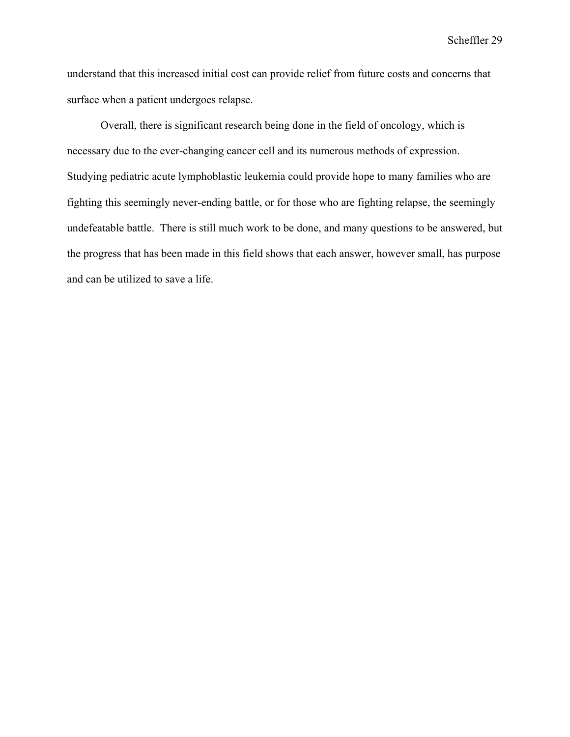understand that this increased initial cost can provide relief from future costs and concerns that surface when a patient undergoes relapse.

Overall, there is significant research being done in the field of oncology, which is necessary due to the ever-changing cancer cell and its numerous methods of expression. Studying pediatric acute lymphoblastic leukemia could provide hope to many families who are fighting this seemingly never-ending battle, or for those who are fighting relapse, the seemingly undefeatable battle. There is still much work to be done, and many questions to be answered, but the progress that has been made in this field shows that each answer, however small, has purpose and can be utilized to save a life.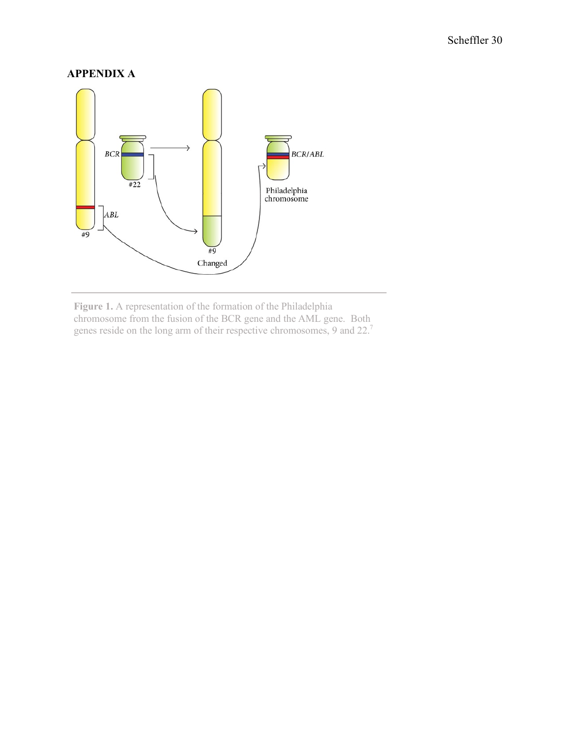# **APPENDIX A**



**Figure 1.** A representation of the formation of the Philadelphia chromosome from the fusion of the BCR gene and the AML gene. Both genes reside on the long arm of their respective chromosomes, 9 and 22.7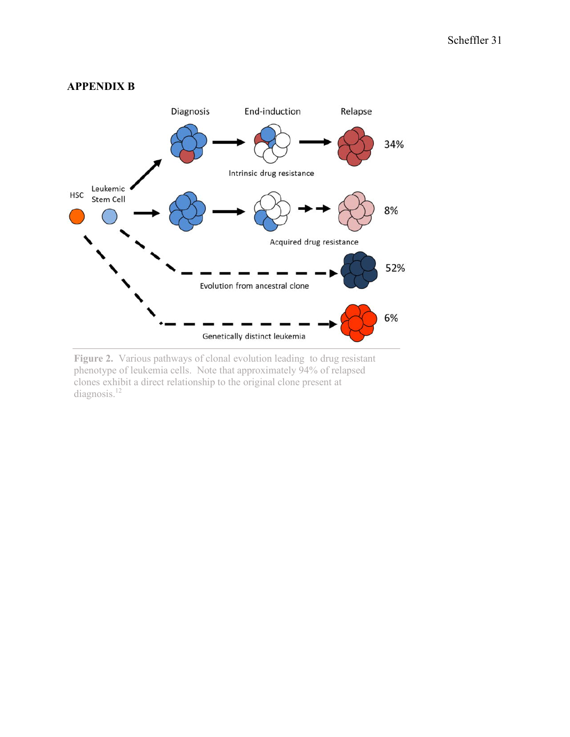

Figure 2. Various pathways of clonal evolution leading to drug resistant phenotype of leukemia cells. Note that approximately 94% of relapsed clones exhibit a direct relationship to the original clone present at diagnosis.<sup>12</sup>

# **APPENDIX B**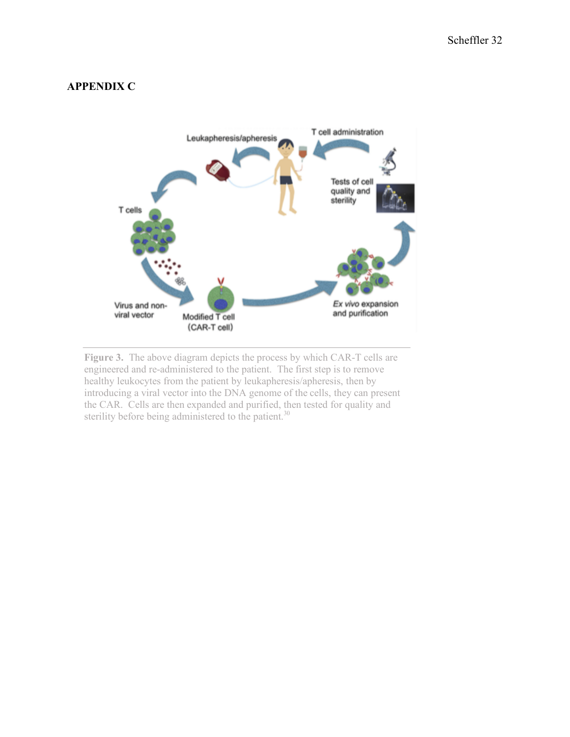# **APPENDIX C**



**Figure 3.** The above diagram depicts the process by which CAR-T cells are engineered and re-administered to the patient. The first step is to remove healthy leukocytes from the patient by leukapheresis/apheresis, then by introducing a viral vector into the DNA genome of the cells, they can present the CAR. Cells are then expanded and purified, then tested for quality and sterility before being administered to the patient.<sup>30</sup>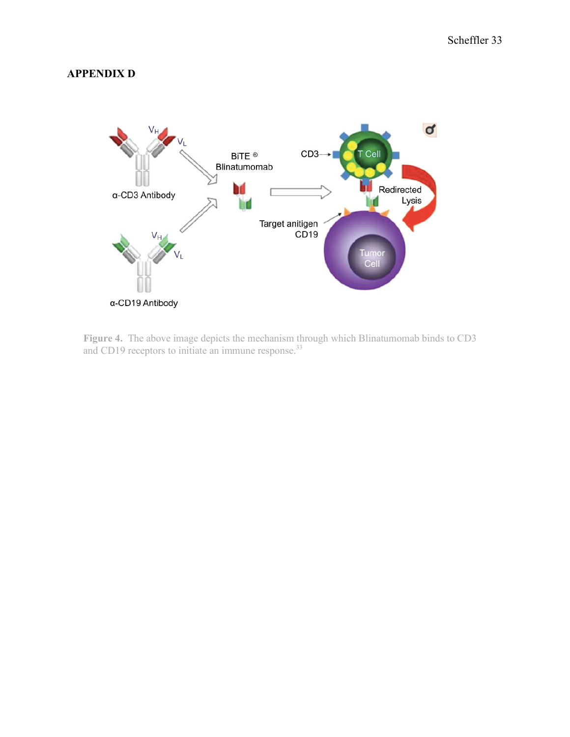# **APPENDIX D**



**Figure 4.** The above image depicts the mechanism through which Blinatumomab binds to CD3 and CD19 receptors to initiate an immune response.<sup>33</sup>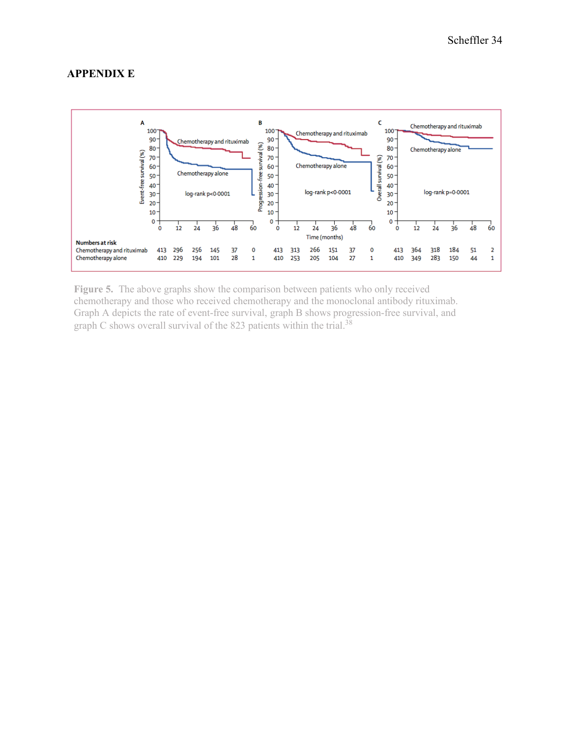# **APPENDIX E**



**Figure 5.** The above graphs show the comparison between patients who only received chemotherapy and those who received chemotherapy and the monoclonal antibody rituximab. Graph A depicts the rate of event-free survival, graph B shows progression-free survival, and graph C shows overall survival of the 823 patients within the trial.<sup>38</sup>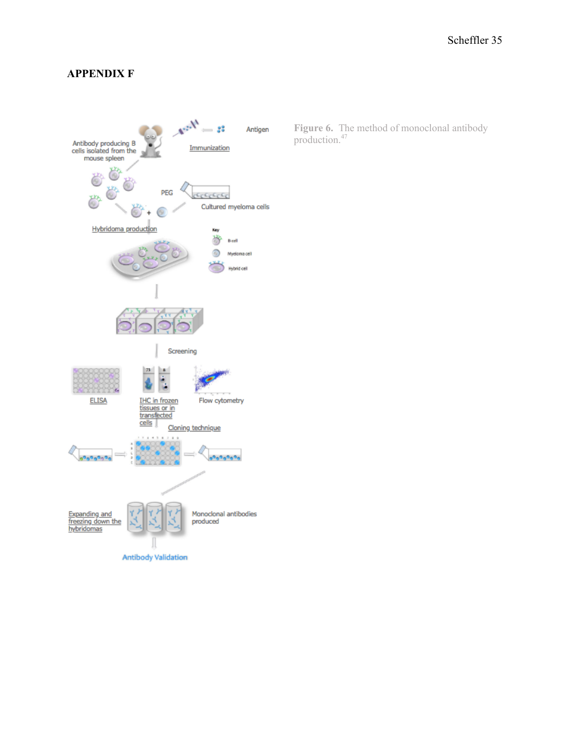# **APPENDIX F**



**Figure 6.** The method of monoclonal antibody production.<sup>47</sup>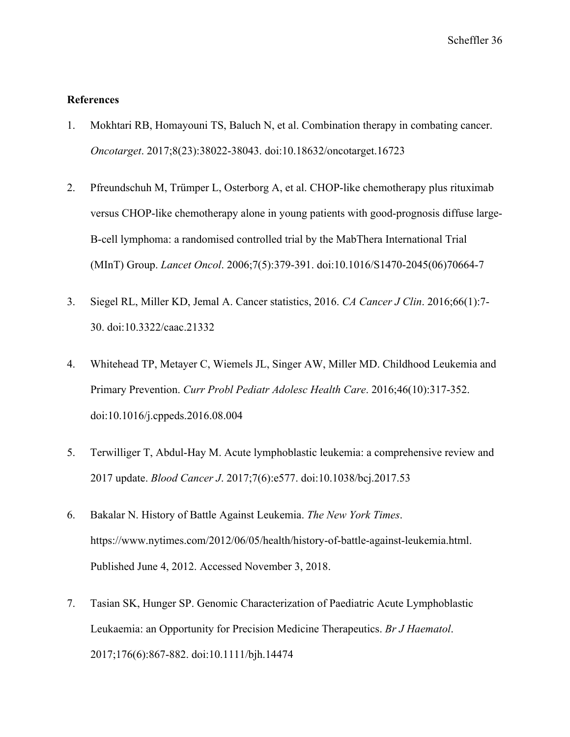# **References**

- 1. Mokhtari RB, Homayouni TS, Baluch N, et al. Combination therapy in combating cancer. *Oncotarget*. 2017;8(23):38022-38043. doi:10.18632/oncotarget.16723
- 2. Pfreundschuh M, Trümper L, Osterborg A, et al. CHOP-like chemotherapy plus rituximab versus CHOP-like chemotherapy alone in young patients with good-prognosis diffuse large-B-cell lymphoma: a randomised controlled trial by the MabThera International Trial (MInT) Group. *Lancet Oncol*. 2006;7(5):379-391. doi:10.1016/S1470-2045(06)70664-7
- 3. Siegel RL, Miller KD, Jemal A. Cancer statistics, 2016. *CA Cancer J Clin*. 2016;66(1):7- 30. doi:10.3322/caac.21332
- 4. Whitehead TP, Metayer C, Wiemels JL, Singer AW, Miller MD. Childhood Leukemia and Primary Prevention. *Curr Probl Pediatr Adolesc Health Care*. 2016;46(10):317-352. doi:10.1016/j.cppeds.2016.08.004
- 5. Terwilliger T, Abdul-Hay M. Acute lymphoblastic leukemia: a comprehensive review and 2017 update. *Blood Cancer J*. 2017;7(6):e577. doi:10.1038/bcj.2017.53
- 6. Bakalar N. History of Battle Against Leukemia. *The New York Times*. https://www.nytimes.com/2012/06/05/health/history-of-battle-against-leukemia.html. Published June 4, 2012. Accessed November 3, 2018.
- 7. Tasian SK, Hunger SP. Genomic Characterization of Paediatric Acute Lymphoblastic Leukaemia: an Opportunity for Precision Medicine Therapeutics. *Br J Haematol*. 2017;176(6):867-882. doi:10.1111/bjh.14474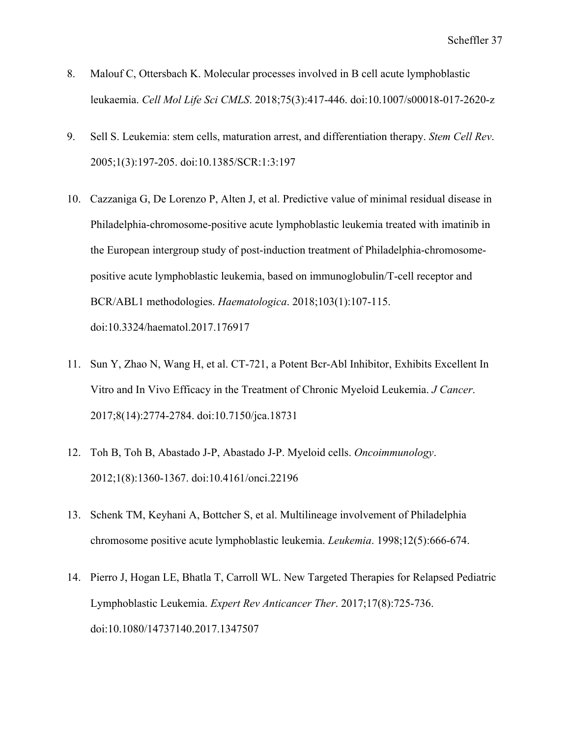- 8. Malouf C, Ottersbach K. Molecular processes involved in B cell acute lymphoblastic leukaemia. *Cell Mol Life Sci CMLS*. 2018;75(3):417-446. doi:10.1007/s00018-017-2620-z
- 9. Sell S. Leukemia: stem cells, maturation arrest, and differentiation therapy. *Stem Cell Rev*. 2005;1(3):197-205. doi:10.1385/SCR:1:3:197
- 10. Cazzaniga G, De Lorenzo P, Alten J, et al. Predictive value of minimal residual disease in Philadelphia-chromosome-positive acute lymphoblastic leukemia treated with imatinib in the European intergroup study of post-induction treatment of Philadelphia-chromosomepositive acute lymphoblastic leukemia, based on immunoglobulin/T-cell receptor and BCR/ABL1 methodologies. *Haematologica*. 2018;103(1):107-115. doi:10.3324/haematol.2017.176917
- 11. Sun Y, Zhao N, Wang H, et al. CT-721, a Potent Bcr-Abl Inhibitor, Exhibits Excellent In Vitro and In Vivo Efficacy in the Treatment of Chronic Myeloid Leukemia. *J Cancer*. 2017;8(14):2774-2784. doi:10.7150/jca.18731
- 12. Toh B, Toh B, Abastado J-P, Abastado J-P. Myeloid cells. *Oncoimmunology*. 2012;1(8):1360-1367. doi:10.4161/onci.22196
- 13. Schenk TM, Keyhani A, Bottcher S, et al. Multilineage involvement of Philadelphia chromosome positive acute lymphoblastic leukemia. *Leukemia*. 1998;12(5):666-674.
- 14. Pierro J, Hogan LE, Bhatla T, Carroll WL. New Targeted Therapies for Relapsed Pediatric Lymphoblastic Leukemia. *Expert Rev Anticancer Ther*. 2017;17(8):725-736. doi:10.1080/14737140.2017.1347507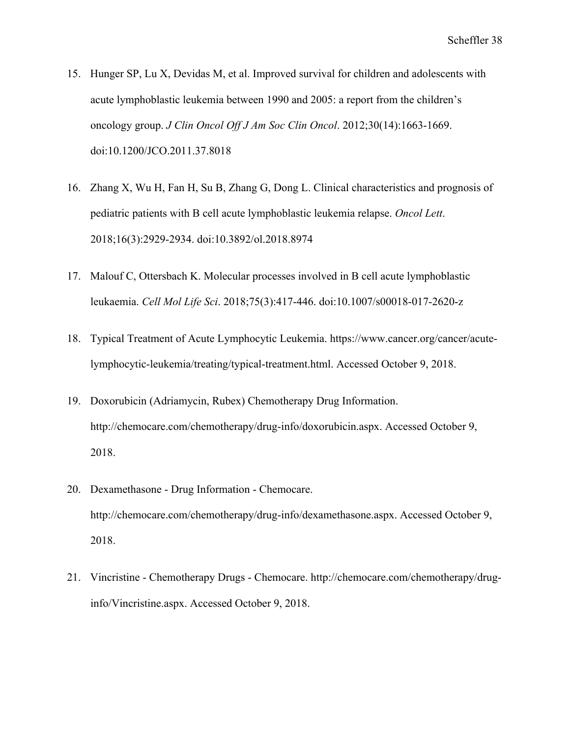- 15. Hunger SP, Lu X, Devidas M, et al. Improved survival for children and adolescents with acute lymphoblastic leukemia between 1990 and 2005: a report from the children's oncology group. *J Clin Oncol Off J Am Soc Clin Oncol*. 2012;30(14):1663-1669. doi:10.1200/JCO.2011.37.8018
- 16. Zhang X, Wu H, Fan H, Su B, Zhang G, Dong L. Clinical characteristics and prognosis of pediatric patients with B cell acute lymphoblastic leukemia relapse. *Oncol Lett*. 2018;16(3):2929-2934. doi:10.3892/ol.2018.8974
- 17. Malouf C, Ottersbach K. Molecular processes involved in B cell acute lymphoblastic leukaemia. *Cell Mol Life Sci*. 2018;75(3):417-446. doi:10.1007/s00018-017-2620-z
- 18. Typical Treatment of Acute Lymphocytic Leukemia. https://www.cancer.org/cancer/acutelymphocytic-leukemia/treating/typical-treatment.html. Accessed October 9, 2018.
- 19. Doxorubicin (Adriamycin, Rubex) Chemotherapy Drug Information. http://chemocare.com/chemotherapy/drug-info/doxorubicin.aspx. Accessed October 9, 2018.
- 20. Dexamethasone Drug Information Chemocare. http://chemocare.com/chemotherapy/drug-info/dexamethasone.aspx. Accessed October 9, 2018.
- 21. Vincristine Chemotherapy Drugs Chemocare. http://chemocare.com/chemotherapy/druginfo/Vincristine.aspx. Accessed October 9, 2018.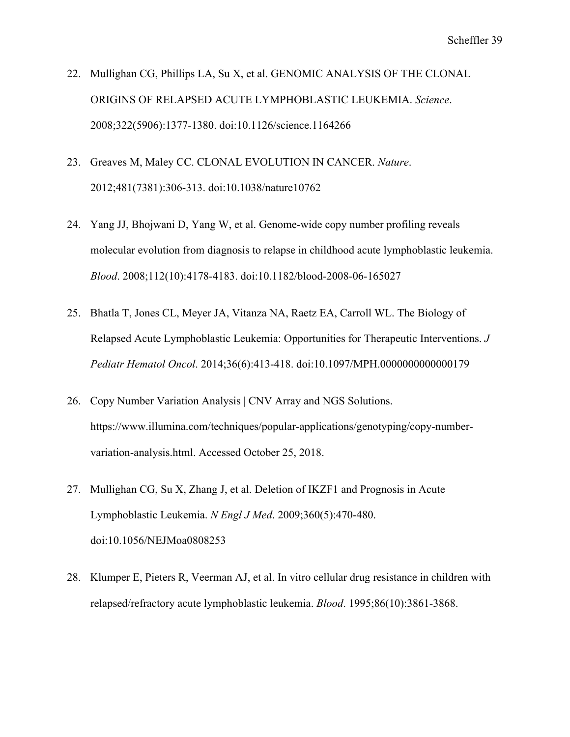- 22. Mullighan CG, Phillips LA, Su X, et al. GENOMIC ANALYSIS OF THE CLONAL ORIGINS OF RELAPSED ACUTE LYMPHOBLASTIC LEUKEMIA. *Science*. 2008;322(5906):1377-1380. doi:10.1126/science.1164266
- 23. Greaves M, Maley CC. CLONAL EVOLUTION IN CANCER. *Nature*. 2012;481(7381):306-313. doi:10.1038/nature10762
- 24. Yang JJ, Bhojwani D, Yang W, et al. Genome-wide copy number profiling reveals molecular evolution from diagnosis to relapse in childhood acute lymphoblastic leukemia. *Blood*. 2008;112(10):4178-4183. doi:10.1182/blood-2008-06-165027
- 25. Bhatla T, Jones CL, Meyer JA, Vitanza NA, Raetz EA, Carroll WL. The Biology of Relapsed Acute Lymphoblastic Leukemia: Opportunities for Therapeutic Interventions. *J Pediatr Hematol Oncol*. 2014;36(6):413-418. doi:10.1097/MPH.0000000000000179
- 26. Copy Number Variation Analysis | CNV Array and NGS Solutions. https://www.illumina.com/techniques/popular-applications/genotyping/copy-numbervariation-analysis.html. Accessed October 25, 2018.
- 27. Mullighan CG, Su X, Zhang J, et al. Deletion of IKZF1 and Prognosis in Acute Lymphoblastic Leukemia. *N Engl J Med*. 2009;360(5):470-480. doi:10.1056/NEJMoa0808253
- 28. Klumper E, Pieters R, Veerman AJ, et al. In vitro cellular drug resistance in children with relapsed/refractory acute lymphoblastic leukemia. *Blood*. 1995;86(10):3861-3868.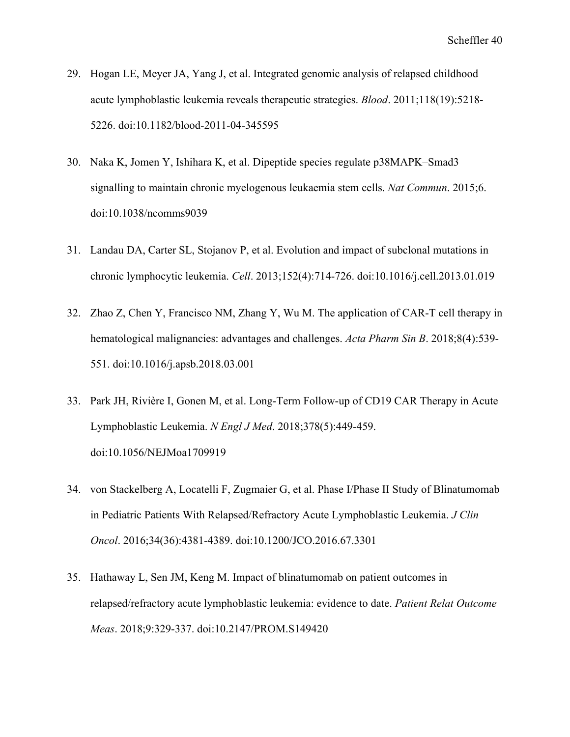- 29. Hogan LE, Meyer JA, Yang J, et al. Integrated genomic analysis of relapsed childhood acute lymphoblastic leukemia reveals therapeutic strategies. *Blood*. 2011;118(19):5218- 5226. doi:10.1182/blood-2011-04-345595
- 30. Naka K, Jomen Y, Ishihara K, et al. Dipeptide species regulate p38MAPK–Smad3 signalling to maintain chronic myelogenous leukaemia stem cells. *Nat Commun*. 2015;6. doi:10.1038/ncomms9039
- 31. Landau DA, Carter SL, Stojanov P, et al. Evolution and impact of subclonal mutations in chronic lymphocytic leukemia. *Cell*. 2013;152(4):714-726. doi:10.1016/j.cell.2013.01.019
- 32. Zhao Z, Chen Y, Francisco NM, Zhang Y, Wu M. The application of CAR-T cell therapy in hematological malignancies: advantages and challenges. *Acta Pharm Sin B*. 2018;8(4):539- 551. doi:10.1016/j.apsb.2018.03.001
- 33. Park JH, Rivière I, Gonen M, et al. Long-Term Follow-up of CD19 CAR Therapy in Acute Lymphoblastic Leukemia. *N Engl J Med*. 2018;378(5):449-459. doi:10.1056/NEJMoa1709919
- 34. von Stackelberg A, Locatelli F, Zugmaier G, et al. Phase I/Phase II Study of Blinatumomab in Pediatric Patients With Relapsed/Refractory Acute Lymphoblastic Leukemia. *J Clin Oncol*. 2016;34(36):4381-4389. doi:10.1200/JCO.2016.67.3301
- 35. Hathaway L, Sen JM, Keng M. Impact of blinatumomab on patient outcomes in relapsed/refractory acute lymphoblastic leukemia: evidence to date. *Patient Relat Outcome Meas*. 2018;9:329-337. doi:10.2147/PROM.S149420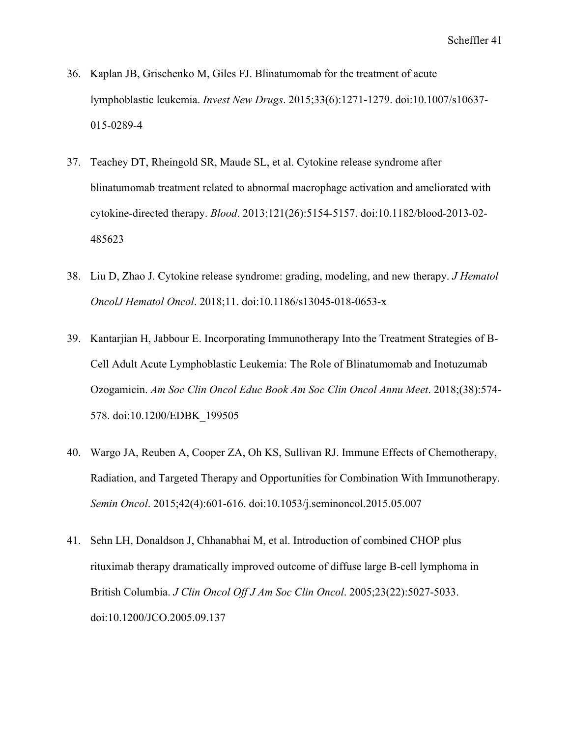- 36. Kaplan JB, Grischenko M, Giles FJ. Blinatumomab for the treatment of acute lymphoblastic leukemia. *Invest New Drugs*. 2015;33(6):1271-1279. doi:10.1007/s10637- 015-0289-4
- 37. Teachey DT, Rheingold SR, Maude SL, et al. Cytokine release syndrome after blinatumomab treatment related to abnormal macrophage activation and ameliorated with cytokine-directed therapy. *Blood*. 2013;121(26):5154-5157. doi:10.1182/blood-2013-02- 485623
- 38. Liu D, Zhao J. Cytokine release syndrome: grading, modeling, and new therapy. *J Hematol OncolJ Hematol Oncol*. 2018;11. doi:10.1186/s13045-018-0653-x
- 39. Kantarjian H, Jabbour E. Incorporating Immunotherapy Into the Treatment Strategies of B-Cell Adult Acute Lymphoblastic Leukemia: The Role of Blinatumomab and Inotuzumab Ozogamicin. *Am Soc Clin Oncol Educ Book Am Soc Clin Oncol Annu Meet*. 2018;(38):574- 578. doi:10.1200/EDBK\_199505
- 40. Wargo JA, Reuben A, Cooper ZA, Oh KS, Sullivan RJ. Immune Effects of Chemotherapy, Radiation, and Targeted Therapy and Opportunities for Combination With Immunotherapy. *Semin Oncol*. 2015;42(4):601-616. doi:10.1053/j.seminoncol.2015.05.007
- 41. Sehn LH, Donaldson J, Chhanabhai M, et al. Introduction of combined CHOP plus rituximab therapy dramatically improved outcome of diffuse large B-cell lymphoma in British Columbia. *J Clin Oncol Off J Am Soc Clin Oncol*. 2005;23(22):5027-5033. doi:10.1200/JCO.2005.09.137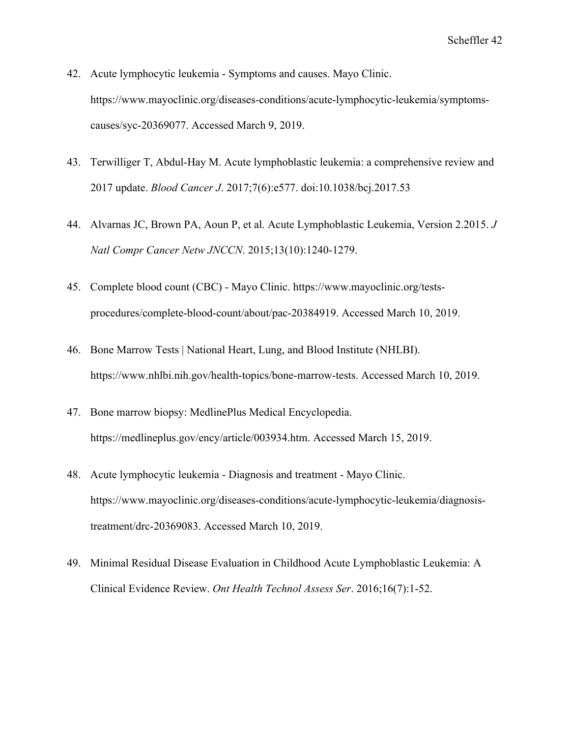- 42. Acute lymphocytic leukemia Symptoms and causes. Mayo Clinic. https://www.mayoclinic.org/diseases-conditions/acute-lymphocytic-leukemia/symptomscauses/syc-20369077. Accessed March 9, 2019.
- 43. Terwilliger T, Abdul-Hay M. Acute lymphoblastic leukemia: a comprehensive review and 2017 update. *Blood Cancer J*. 2017;7(6):e577. doi:10.1038/bcj.2017.53
- 44. Alvarnas JC, Brown PA, Aoun P, et al. Acute Lymphoblastic Leukemia, Version 2.2015. *J Natl Compr Cancer Netw JNCCN*. 2015;13(10):1240-1279.
- 45. Complete blood count (CBC) Mayo Clinic. https://www.mayoclinic.org/testsprocedures/complete-blood-count/about/pac-20384919. Accessed March 10, 2019.
- 46. Bone Marrow Tests | National Heart, Lung, and Blood Institute (NHLBI). https://www.nhlbi.nih.gov/health-topics/bone-marrow-tests. Accessed March 10, 2019.
- 47. Bone marrow biopsy: MedlinePlus Medical Encyclopedia. https://medlineplus.gov/ency/article/003934.htm. Accessed March 15, 2019.
- 48. Acute lymphocytic leukemia Diagnosis and treatment Mayo Clinic. https://www.mayoclinic.org/diseases-conditions/acute-lymphocytic-leukemia/diagnosistreatment/drc-20369083. Accessed March 10, 2019.
- 49. Minimal Residual Disease Evaluation in Childhood Acute Lymphoblastic Leukemia: A Clinical Evidence Review. *Ont Health Technol Assess Ser*. 2016;16(7):1-52.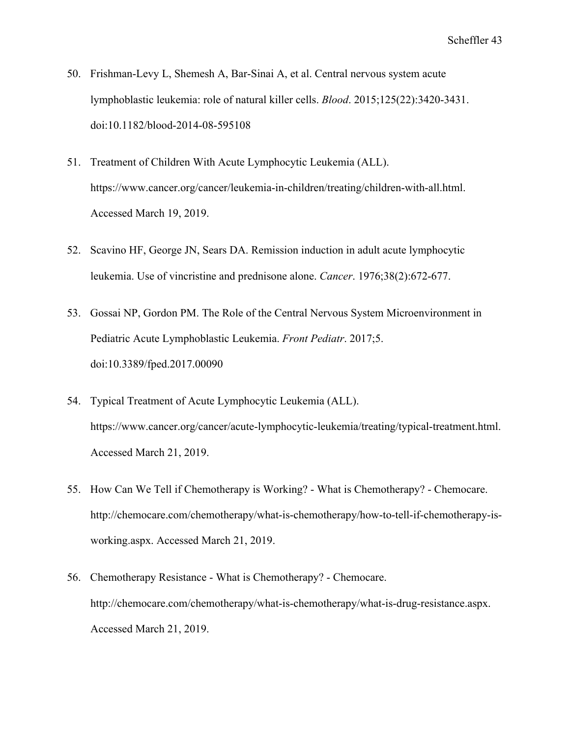- 50. Frishman-Levy L, Shemesh A, Bar-Sinai A, et al. Central nervous system acute lymphoblastic leukemia: role of natural killer cells. *Blood*. 2015;125(22):3420-3431. doi:10.1182/blood-2014-08-595108
- 51. Treatment of Children With Acute Lymphocytic Leukemia (ALL). https://www.cancer.org/cancer/leukemia-in-children/treating/children-with-all.html. Accessed March 19, 2019.
- 52. Scavino HF, George JN, Sears DA. Remission induction in adult acute lymphocytic leukemia. Use of vincristine and prednisone alone. *Cancer*. 1976;38(2):672-677.
- 53. Gossai NP, Gordon PM. The Role of the Central Nervous System Microenvironment in Pediatric Acute Lymphoblastic Leukemia. *Front Pediatr*. 2017;5. doi:10.3389/fped.2017.00090
- 54. Typical Treatment of Acute Lymphocytic Leukemia (ALL). https://www.cancer.org/cancer/acute-lymphocytic-leukemia/treating/typical-treatment.html. Accessed March 21, 2019.
- 55. How Can We Tell if Chemotherapy is Working? What is Chemotherapy? Chemocare. http://chemocare.com/chemotherapy/what-is-chemotherapy/how-to-tell-if-chemotherapy-isworking.aspx. Accessed March 21, 2019.
- 56. Chemotherapy Resistance What is Chemotherapy? Chemocare. http://chemocare.com/chemotherapy/what-is-chemotherapy/what-is-drug-resistance.aspx. Accessed March 21, 2019.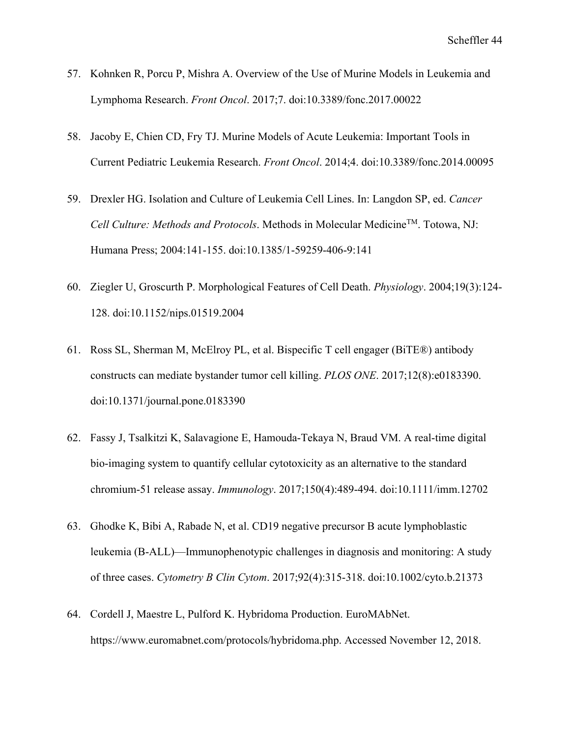- 57. Kohnken R, Porcu P, Mishra A. Overview of the Use of Murine Models in Leukemia and Lymphoma Research. *Front Oncol*. 2017;7. doi:10.3389/fonc.2017.00022
- 58. Jacoby E, Chien CD, Fry TJ. Murine Models of Acute Leukemia: Important Tools in Current Pediatric Leukemia Research. *Front Oncol*. 2014;4. doi:10.3389/fonc.2014.00095
- 59. Drexler HG. Isolation and Culture of Leukemia Cell Lines. In: Langdon SP, ed. *Cancer Cell Culture: Methods and Protocols*. Methods in Molecular MedicineTM. Totowa, NJ: Humana Press; 2004:141-155. doi:10.1385/1-59259-406-9:141
- 60. Ziegler U, Groscurth P. Morphological Features of Cell Death. *Physiology*. 2004;19(3):124- 128. doi:10.1152/nips.01519.2004
- 61. Ross SL, Sherman M, McElroy PL, et al. Bispecific T cell engager (BiTE®) antibody constructs can mediate bystander tumor cell killing. *PLOS ONE*. 2017;12(8):e0183390. doi:10.1371/journal.pone.0183390
- 62. Fassy J, Tsalkitzi K, Salavagione E, Hamouda‐Tekaya N, Braud VM. A real‐time digital bio-imaging system to quantify cellular cytotoxicity as an alternative to the standard chromium‐51 release assay. *Immunology*. 2017;150(4):489-494. doi:10.1111/imm.12702
- 63. Ghodke K, Bibi A, Rabade N, et al. CD19 negative precursor B acute lymphoblastic leukemia (B-ALL)—Immunophenotypic challenges in diagnosis and monitoring: A study of three cases. *Cytometry B Clin Cytom*. 2017;92(4):315-318. doi:10.1002/cyto.b.21373
- 64. Cordell J, Maestre L, Pulford K. Hybridoma Production. EuroMAbNet. https://www.euromabnet.com/protocols/hybridoma.php. Accessed November 12, 2018.